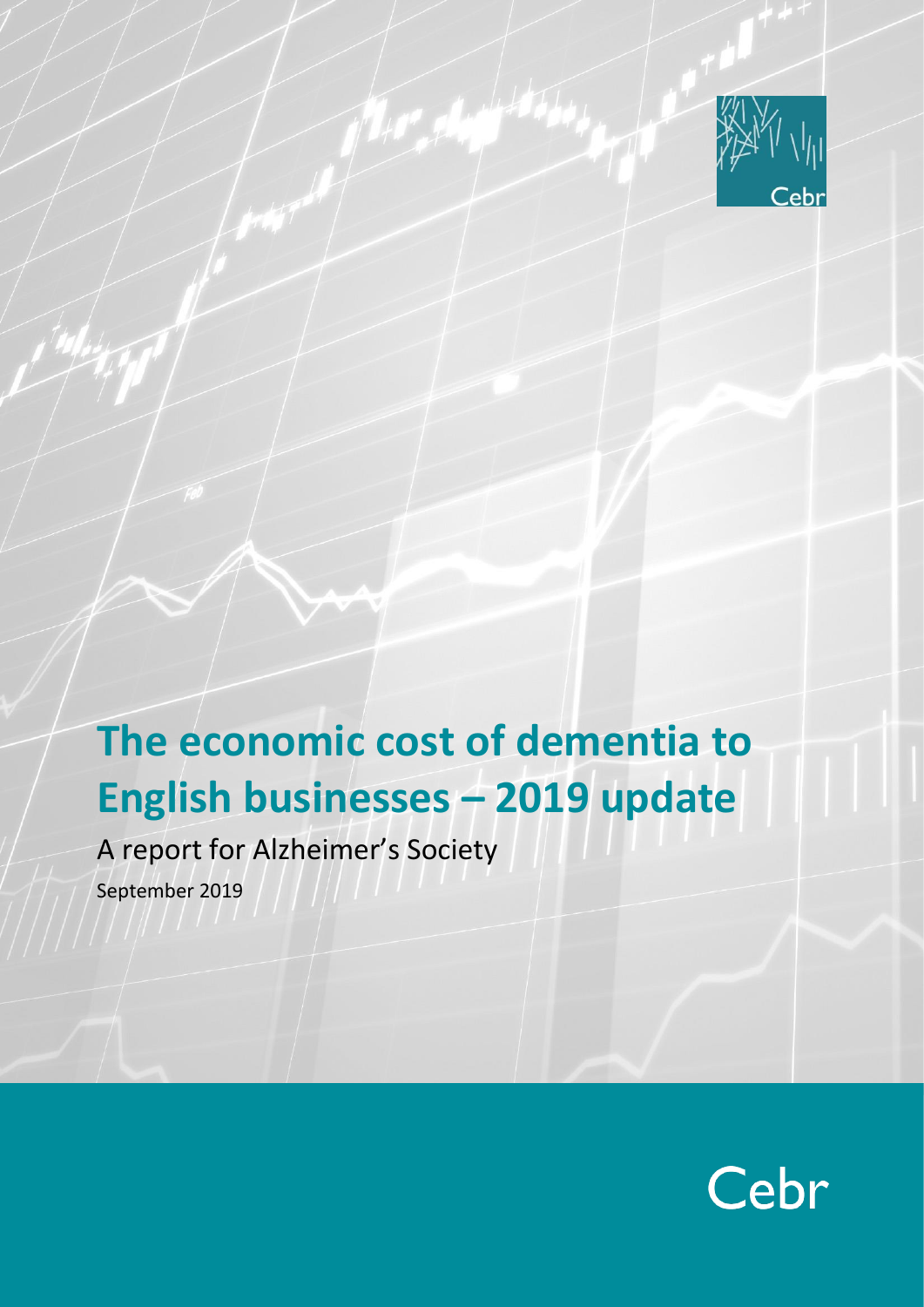

# **The economic cost of dementia to English businesses – 2019 update**

A report for Alzheimer's Society

September 2019

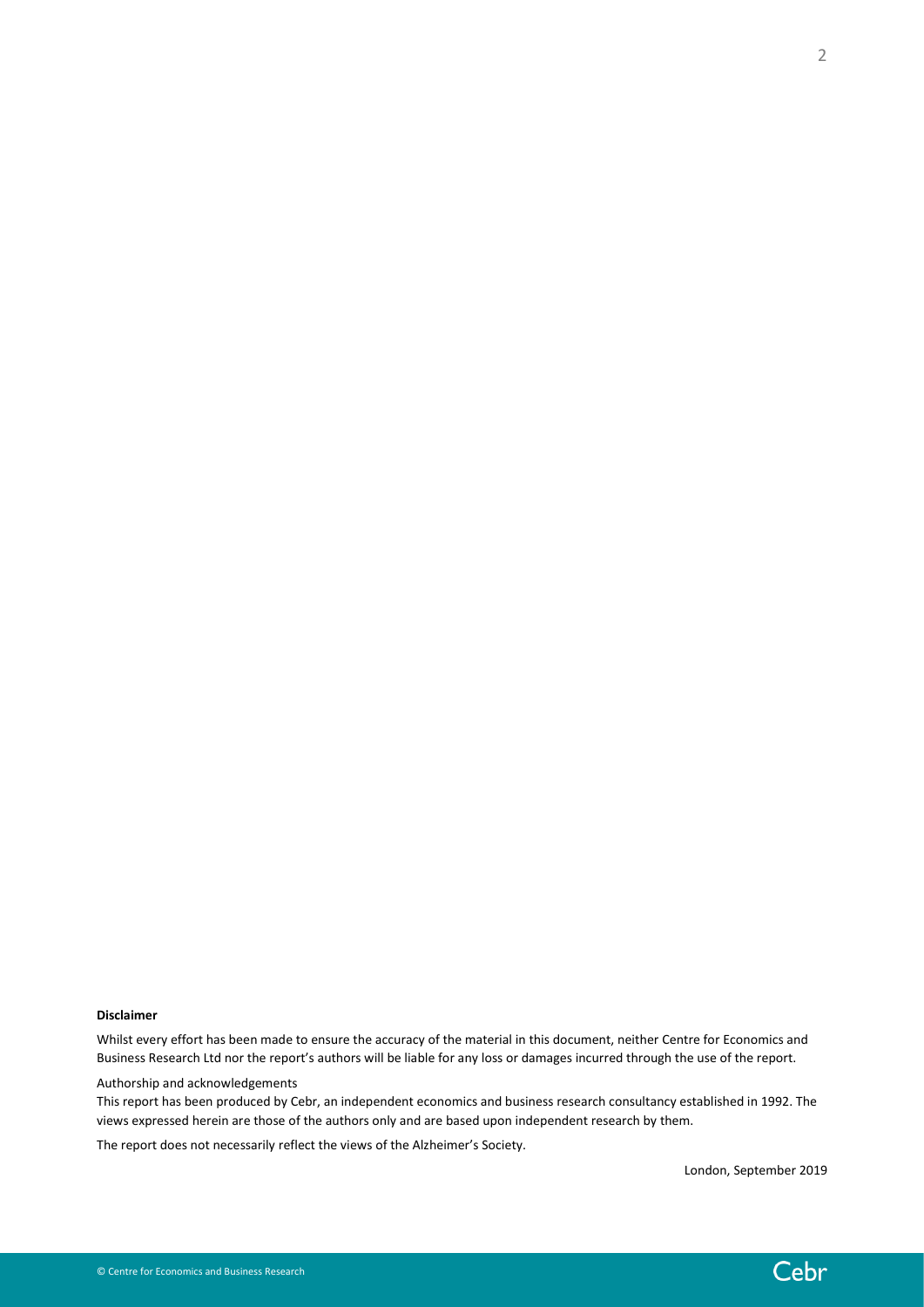Whilst every effort has been made to ensure the accuracy of the material in this document, neither Centre for Economics and Business Research Ltd nor the report's authors will be liable for any loss or damages incurred through the use of the report.

Authorship and acknowledgements

This report has been produced by Cebr, an independent economics and business research consultancy established in 1992. The views expressed herein are those of the authors only and are based upon independent research by them.

The report does not necessarily reflect the views of the Alzheimer's Society.

London, September 2019



2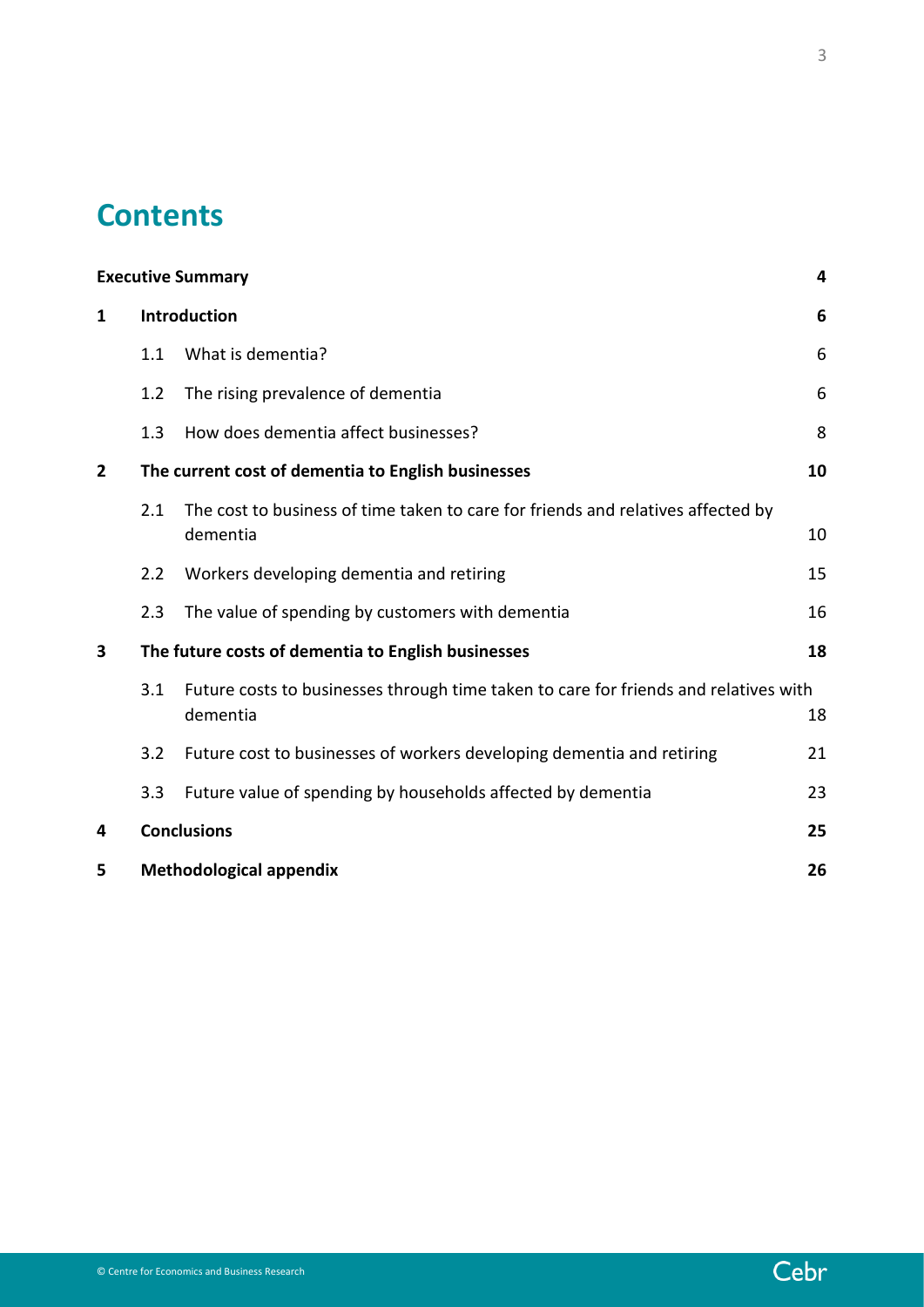# **Contents**

| <b>Executive Summary</b> |                                                    |                                                                                                  | 4  |
|--------------------------|----------------------------------------------------|--------------------------------------------------------------------------------------------------|----|
| 1                        | <b>Introduction</b>                                |                                                                                                  | 6  |
|                          | 1.1                                                | What is dementia?                                                                                | 6  |
|                          | 1.2                                                | The rising prevalence of dementia                                                                | 6  |
|                          | 1.3                                                | How does dementia affect businesses?                                                             | 8  |
| $\overline{2}$           | The current cost of dementia to English businesses |                                                                                                  | 10 |
|                          | 2.1                                                | The cost to business of time taken to care for friends and relatives affected by<br>dementia     | 10 |
|                          | 2.2                                                | Workers developing dementia and retiring                                                         | 15 |
|                          | 2.3                                                | The value of spending by customers with dementia                                                 | 16 |
| 3                        | The future costs of dementia to English businesses |                                                                                                  | 18 |
|                          | 3.1                                                | Future costs to businesses through time taken to care for friends and relatives with<br>dementia | 18 |
|                          | 3.2                                                | Future cost to businesses of workers developing dementia and retiring                            | 21 |
|                          | 3.3                                                | Future value of spending by households affected by dementia                                      | 23 |
| 4                        | <b>Conclusions</b>                                 |                                                                                                  | 25 |
| 5                        | <b>Methodological appendix</b>                     |                                                                                                  | 26 |

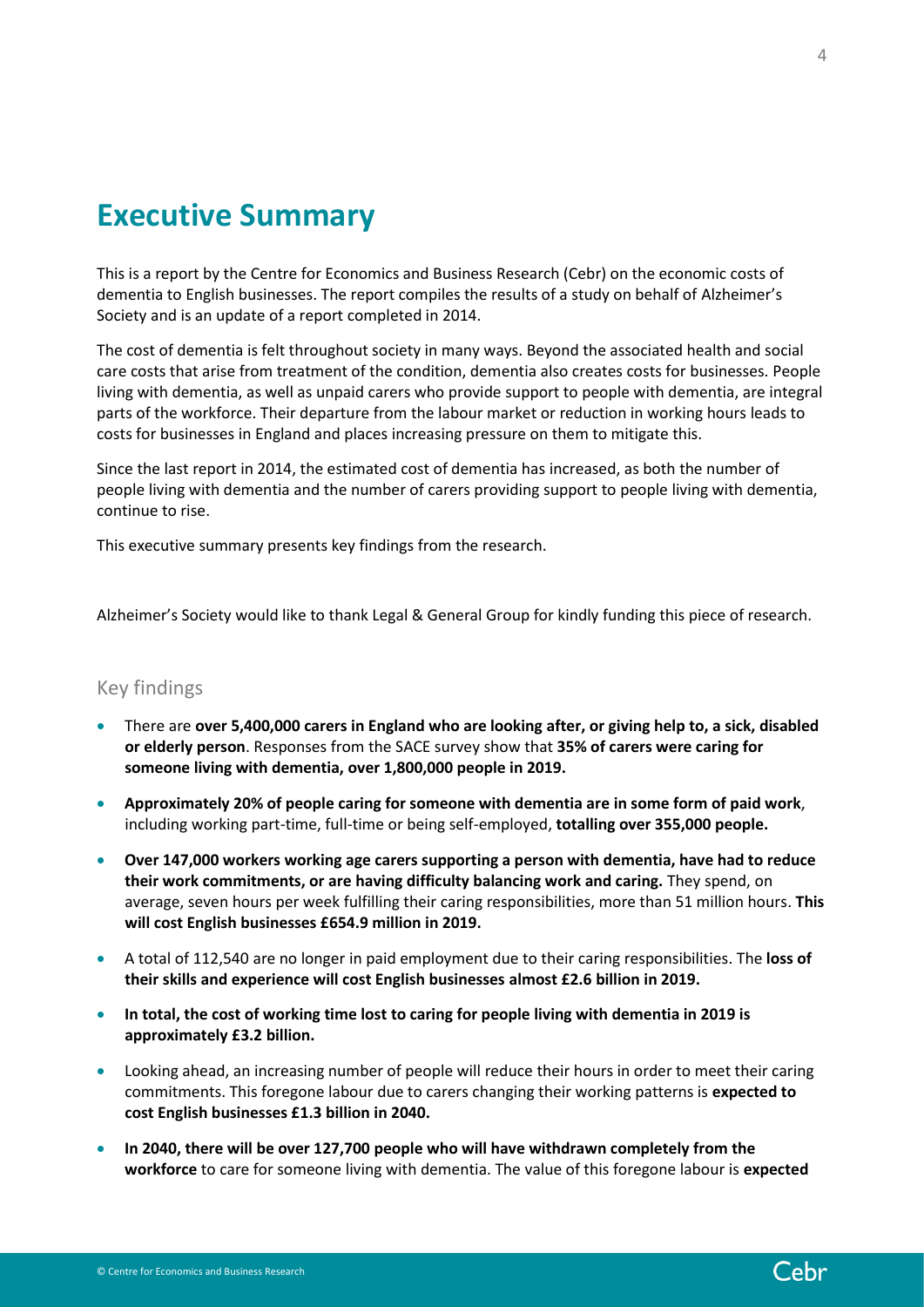# <span id="page-3-0"></span>**Executive Summary**

This is a report by the Centre for Economics and Business Research (Cebr) on the economic costs of dementia to English businesses. The report compiles the results of a study on behalf of Alzheimer's Society and is an update of a report completed in 2014.

The cost of dementia is felt throughout society in many ways. Beyond the associated health and social care costs that arise from treatment of the condition, dementia also creates costs for businesses. People living with dementia, as well as unpaid carers who provide support to people with dementia, are integral parts of the workforce. Their departure from the labour market or reduction in working hours leads to costs for businesses in England and places increasing pressure on them to mitigate this.

Since the last report in 2014, the estimated cost of dementia has increased, as both the number of people living with dementia and the number of carers providing support to people living with dementia, continue to rise.

This executive summary presents key findings from the research.

Alzheimer's Society would like to thank Legal & General Group for kindly funding this piece of research.

### Key findings

- There are **over 5,400,000 carers in England who are looking after, or giving help to, a sick, disabled or elderly person**. Responses from the SACE survey show that **35% of carers were caring for someone living with dementia, over 1,800,000 people in 2019.**
- **Approximately 20% of people caring for someone with dementia are in some form of paid work**, including working part-time, full-time or being self-employed, **totalling over 355,000 people.**
- **Over 147,000 workers working age carers supporting a person with dementia, have had to reduce their work commitments, or are having difficulty balancing work and caring.** They spend, on average, seven hours per week fulfilling their caring responsibilities, more than 51 million hours. **This will cost English businesses £654.9 million in 2019.**
- A total of 112,540 are no longer in paid employment due to their caring responsibilities. The **loss of their skills and experience will cost English businesses almost £2.6 billion in 2019.**
- **In total, the cost of working time lost to caring for people living with dementia in 2019 is approximately £3.2 billion.**
- Looking ahead, an increasing number of people will reduce their hours in order to meet their caring commitments. This foregone labour due to carers changing their working patterns is **expected to cost English businesses £1.3 billion in 2040.**
- **In 2040, there will be over 127,700 people who will have withdrawn completely from the workforce** to care for someone living with dementia. The value of this foregone labour is **expected**

Cebr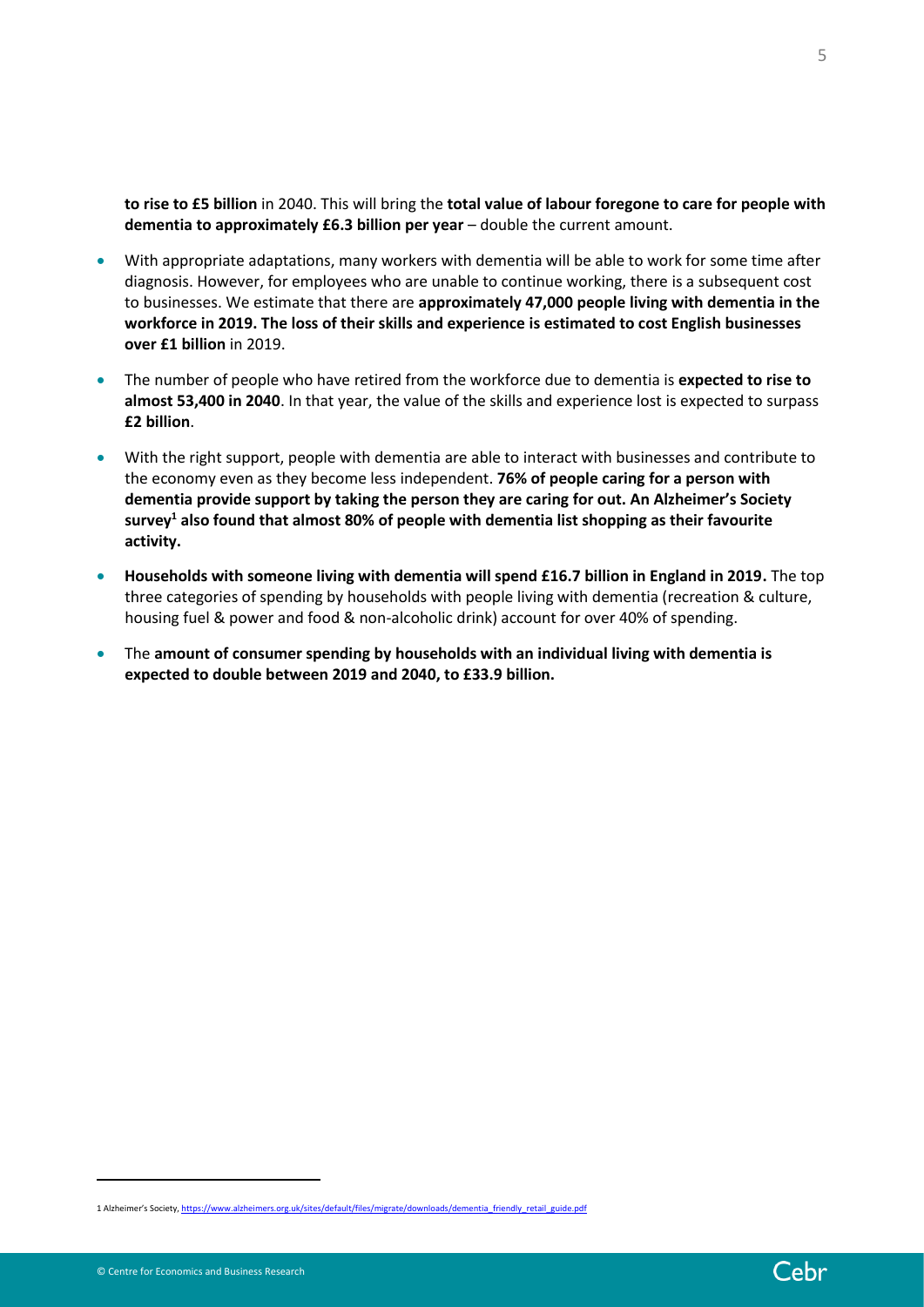**to rise to £5 billion** in 2040. This will bring the **total value of labour foregone to care for people with dementia to approximately £6.3 billion per year** – double the current amount.

- With appropriate adaptations, many workers with dementia will be able to work for some time after diagnosis. However, for employees who are unable to continue working, there is a subsequent cost to businesses. We estimate that there are **approximately 47,000 people living with dementia in the workforce in 2019. The loss of their skills and experience is estimated to cost English businesses over £1 billion** in 2019.
- The number of people who have retired from the workforce due to dementia is **expected to rise to almost 53,400 in 2040**. In that year, the value of the skills and experience lost is expected to surpass **£2 billion**.
- With the right support, people with dementia are able to interact with businesses and contribute to the economy even as they become less independent. **76% of people caring for a person with dementia provide support by taking the person they are caring for out. An Alzheimer's Society survey<sup>1</sup> also found that almost 80% of people with dementia list shopping as their favourite activity.**
- **Households with someone living with dementia will spend £16.7 billion in England in 2019.** The top three categories of spending by households with people living with dementia (recreation & culture, housing fuel & power and food & non-alcoholic drink) account for over 40% of spending.
- The **amount of consumer spending by households with an individual living with dementia is expected to double between 2019 and 2040, to £33.9 billion.**

5

<sup>1</sup> Alzheimer's Society, [https://www.alzheimers.org.uk/sites/default/files/migrate/downloads/dementia\\_friendly\\_retail\\_guide.pdf](https://www.alzheimers.org.uk/sites/default/files/migrate/downloads/dementia_friendly_retail_guide.pdf)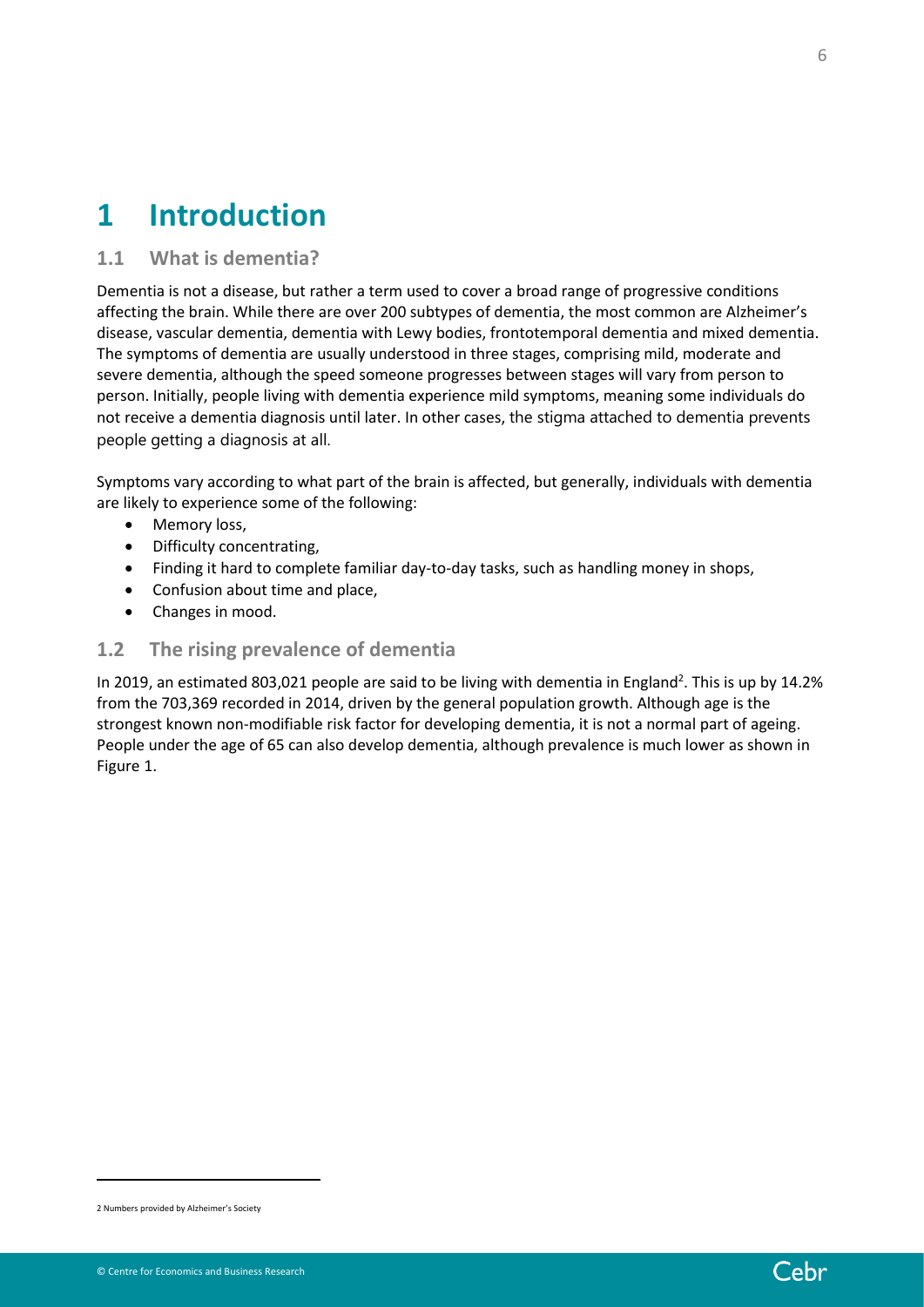# <span id="page-5-0"></span>**1 Introduction**

# <span id="page-5-1"></span>**1.1 What is dementia?**

Dementia is not a disease, but rather a term used to cover a broad range of progressive conditions affecting the brain. While there are over 200 subtypes of dementia, the most common are Alzheimer's disease, vascular dementia, dementia with Lewy bodies, frontotemporal dementia and mixed dementia. The symptoms of dementia are usually understood in three stages, comprising mild, moderate and severe dementia, although the speed someone progresses between stages will vary from person to person. Initially, people living with dementia experience mild symptoms, meaning some individuals do not receive a dementia diagnosis until later. In other cases, the stigma attached to dementia prevents people getting a diagnosis at all.

Symptoms vary according to what part of the brain is affected, but generally, individuals with dementia are likely to experience some of the following:

- Memory loss,
- Difficulty concentrating,
- Finding it hard to complete familiar day-to-day tasks, such as handling money in shops,
- Confusion about time and place,
- Changes in mood.

## <span id="page-5-2"></span>**1.2 The rising prevalence of dementia**

In 2019, an estimated 803,021 people are said to be living with dementia in England<sup>2</sup>. This is up by 14.2% from the 703,369 recorded in 2014, driven by the general population growth. Although age is the strongest known non-modifiable risk factor for developing dementia, it is not a normal part of ageing. People under the age of 65 can also develop dementia, although prevalence is much lower as shown in [Figure 1.](#page-6-0)

<sup>2</sup> Numbers provided by Alzheimer's Society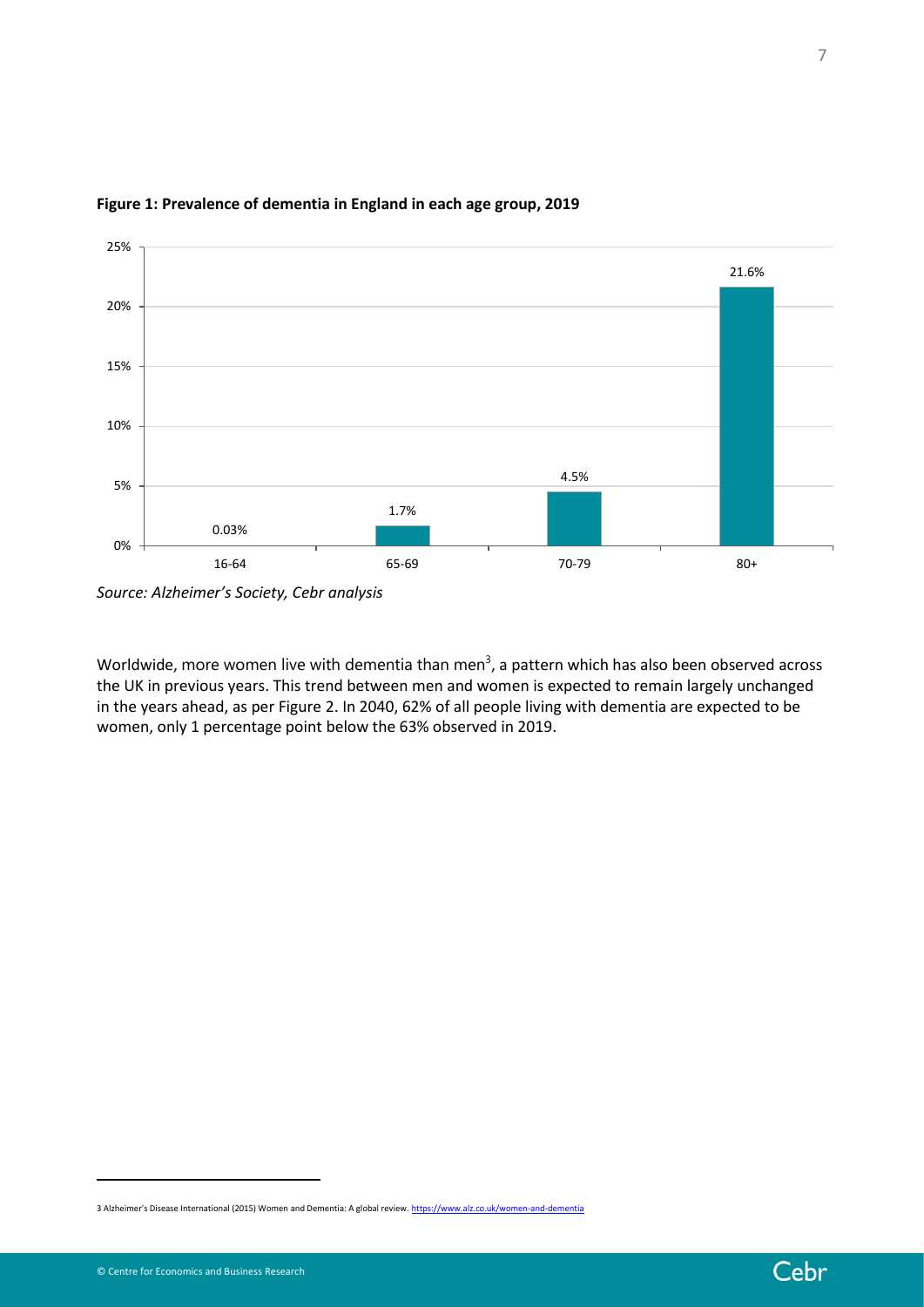

## <span id="page-6-0"></span>**Figure 1: Prevalence of dementia in England in each age group, 2019**

*Source: Alzheimer's Society, Cebr analysis*

Worldwide, more women live with dementia than men<sup>3</sup>, a pattern which has also been observed across the UK in previous years. This trend between men and women is expected to remain largely unchanged in the years ahead, as pe[r Figure 2.](#page-7-1) In 2040, 62% of all people living with dementia are expected to be women, only 1 percentage point below the 63% observed in 2019.

<sup>3</sup> Alzheimer's Disease International (2015) Women and Dementia: A global review[. https://www.alz.co.uk/women-and-dementia](https://www.alz.co.uk/women-and-dementia)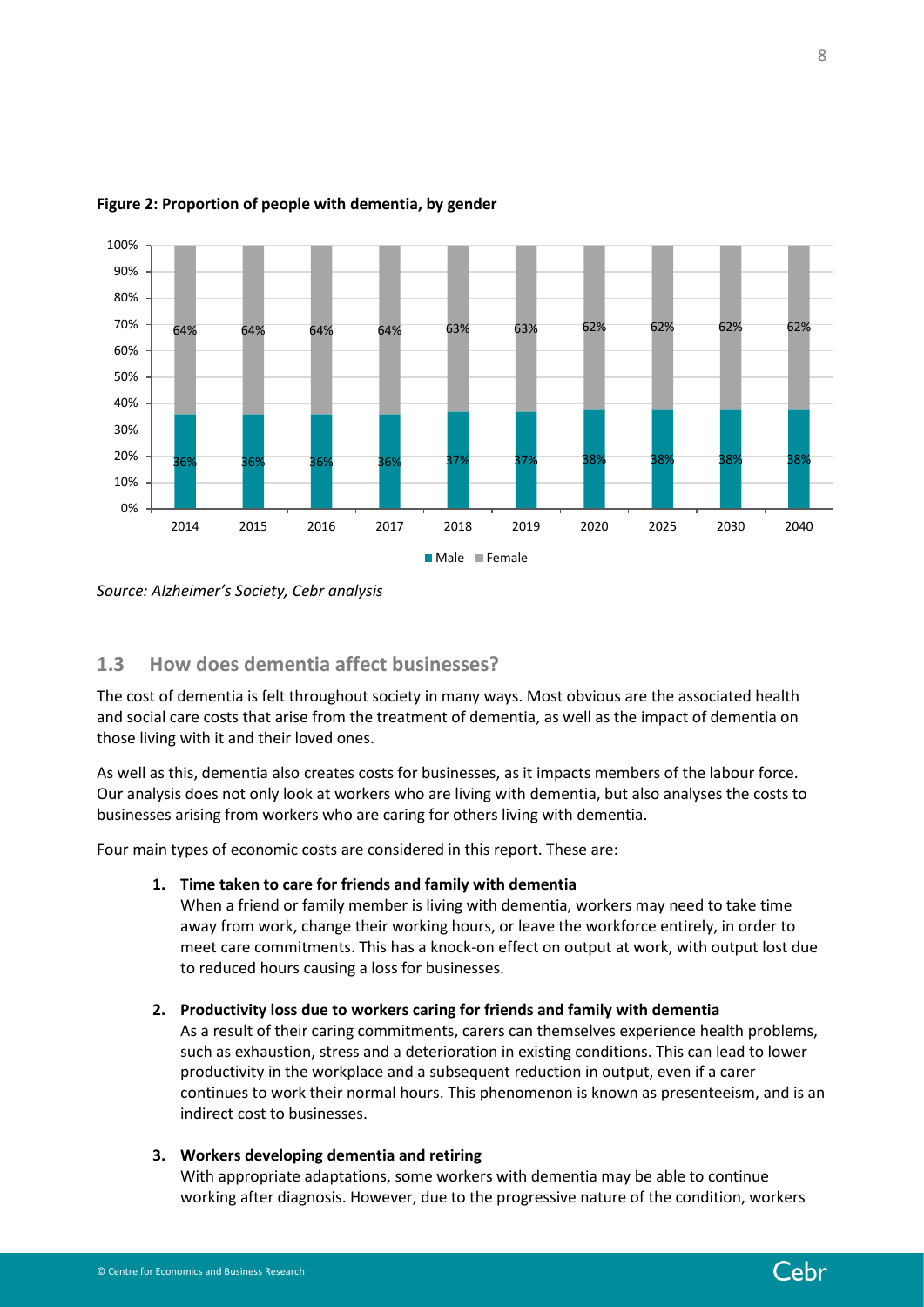

#### <span id="page-7-1"></span>**Figure 2: Proportion of people with dementia, by gender**

*Source: Alzheimer's Society, Cebr analysis*

# <span id="page-7-0"></span>**1.3 How does dementia affect businesses?**

The cost of dementia is felt throughout society in many ways. Most obvious are the associated health and social care costs that arise from the treatment of dementia, as well as the impact of dementia on those living with it and their loved ones.

As well as this, dementia also creates costs for businesses, as it impacts members of the labour force. Our analysis does not only look at workers who are living with dementia, but also analyses the costs to businesses arising from workers who are caring for others living with dementia.

Four main types of economic costs are considered in this report. These are:

#### **1. Time taken to care for friends and family with dementia**

When a friend or family member is living with dementia, workers may need to take time away from work, change their working hours, or leave the workforce entirely, in order to meet care commitments. This has a knock-on effect on output at work, with output lost due to reduced hours causing a loss for businesses.

#### **2. Productivity loss due to workers caring for friends and family with dementia**

As a result of their caring commitments, carers can themselves experience health problems, such as exhaustion, stress and a deterioration in existing conditions. This can lead to lower productivity in the workplace and a subsequent reduction in output, even if a carer continues to work their normal hours. This phenomenon is known as presenteeism, and is an indirect cost to businesses.

#### **3. Workers developing dementia and retiring**

With appropriate adaptations, some workers with dementia may be able to continue working after diagnosis. However, due to the progressive nature of the condition, workers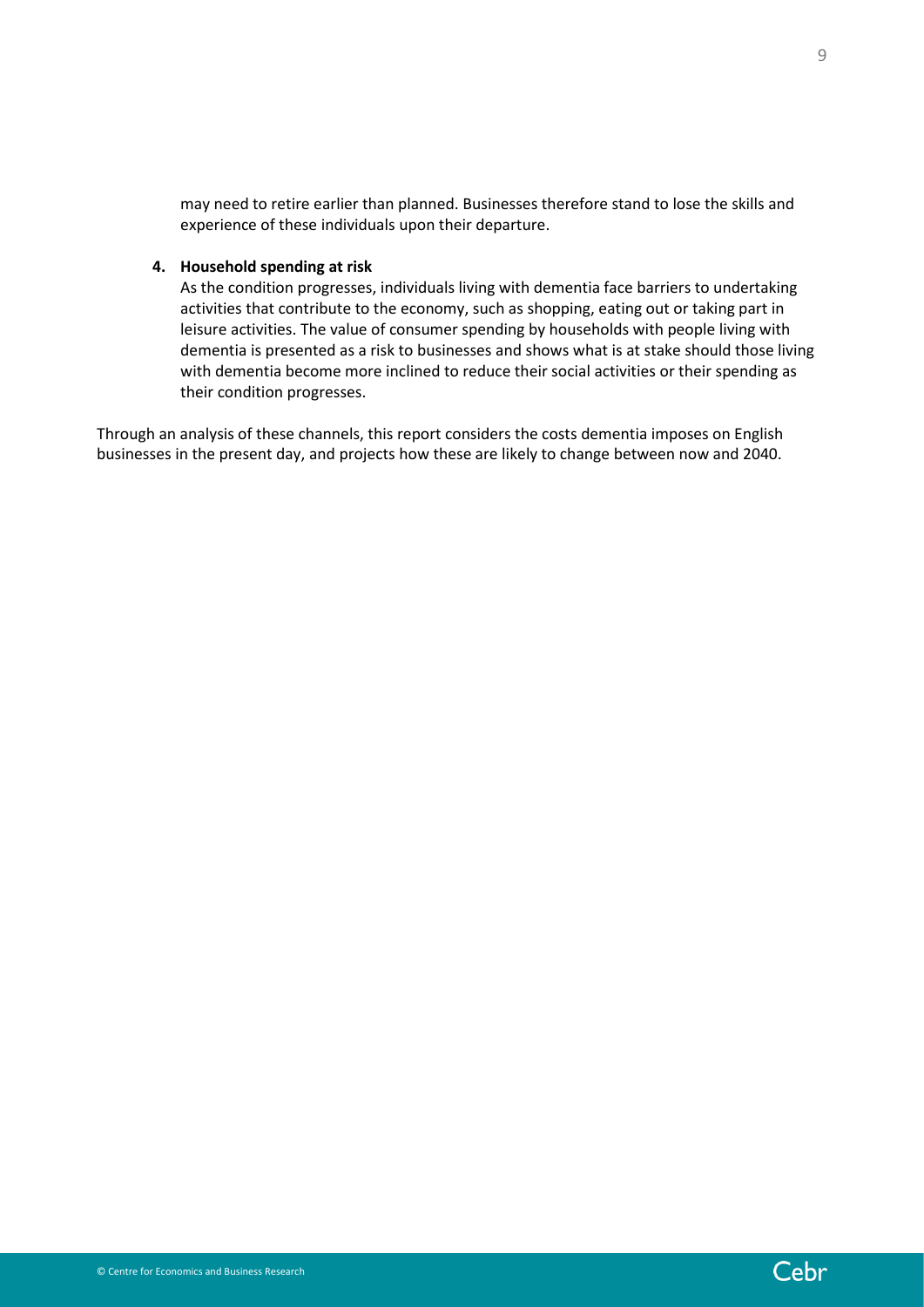may need to retire earlier than planned. Businesses therefore stand to lose the skills and experience of these individuals upon their departure.

#### **4. Household spending at risk**

As the condition progresses, individuals living with dementia face barriers to undertaking activities that contribute to the economy, such as shopping, eating out or taking part in leisure activities. The value of consumer spending by households with people living with dementia is presented as a risk to businesses and shows what is at stake should those living with dementia become more inclined to reduce their social activities or their spending as their condition progresses.

Through an analysis of these channels, this report considers the costs dementia imposes on English businesses in the present day, and projects how these are likely to change between now and 2040.

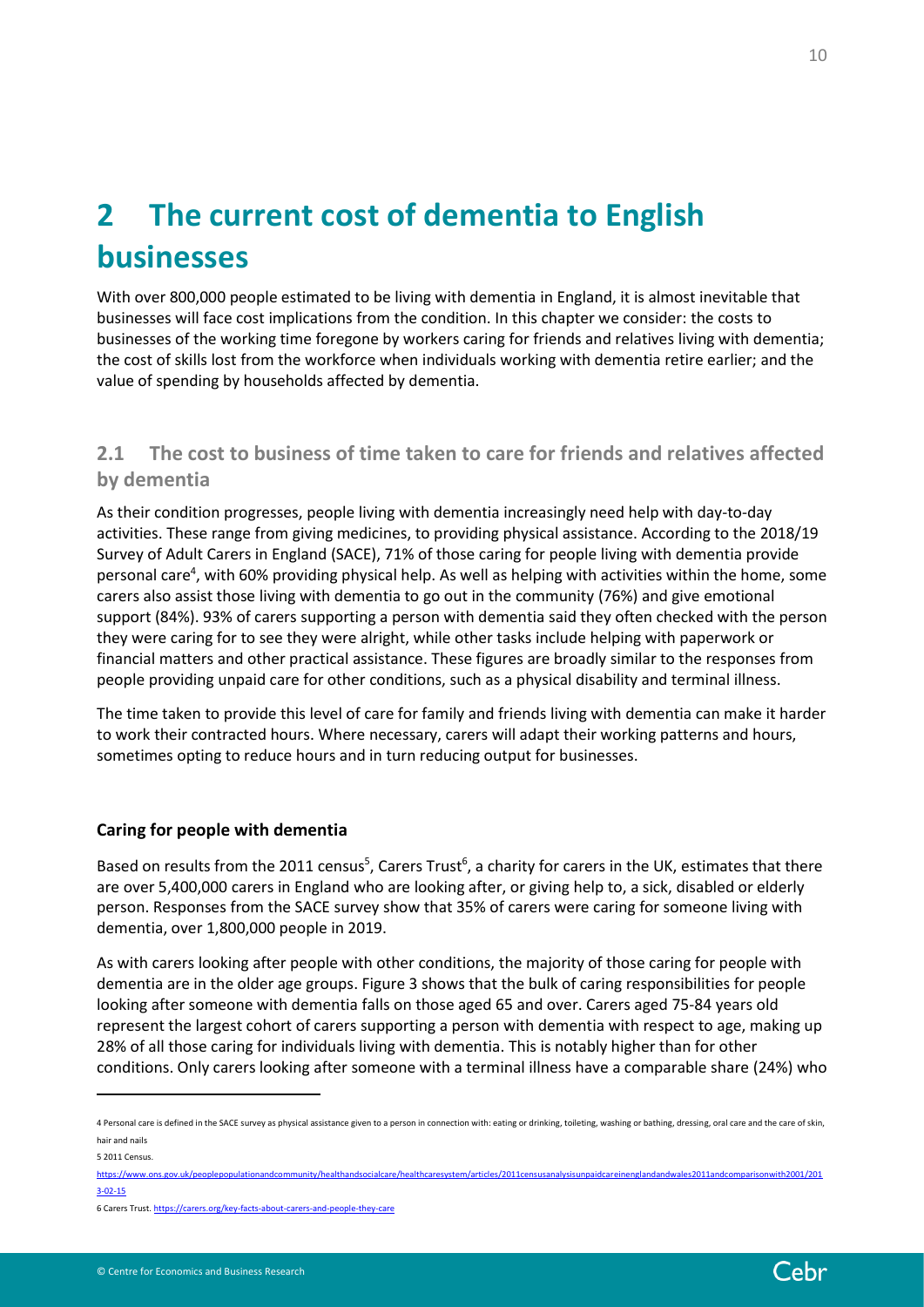# <span id="page-9-0"></span>**2 The current cost of dementia to English businesses**

With over 800,000 people estimated to be living with dementia in England, it is almost inevitable that businesses will face cost implications from the condition. In this chapter we consider: the costs to businesses of the working time foregone by workers caring for friends and relatives living with dementia; the cost of skills lost from the workforce when individuals working with dementia retire earlier; and the value of spending by households affected by dementia.

# <span id="page-9-1"></span>**2.1 The cost to business of time taken to care for friends and relatives affected by dementia**

As their condition progresses, people living with dementia increasingly need help with day-to-day activities. These range from giving medicines, to providing physical assistance. According to the 2018/19 Survey of Adult Carers in England (SACE), 71% of those caring for people living with dementia provide personal care<sup>4</sup>, with 60% providing physical help. As well as helping with activities within the home, some carers also assist those living with dementia to go out in the community (76%) and give emotional support (84%). 93% of carers supporting a person with dementia said they often checked with the person they were caring for to see they were alright, while other tasks include helping with paperwork or financial matters and other practical assistance. These figures are broadly similar to the responses from people providing unpaid care for other conditions, such as a physical disability and terminal illness.

The time taken to provide this level of care for family and friends living with dementia can make it harder to work their contracted hours. Where necessary, carers will adapt their working patterns and hours, sometimes opting to reduce hours and in turn reducing output for businesses.

## **Caring for people with dementia**

Based on results from the 2011 census<sup>5</sup>, Carers Trust<sup>6</sup>, a charity for carers in the UK, estimates that there are over 5,400,000 carers in England who are looking after, or giving help to, a sick, disabled or elderly person. Responses from the SACE survey show that 35% of carers were caring for someone living with dementia, over 1,800,000 people in 2019.

As with carers looking after people with other conditions, the majority of those caring for people with dementia are in the older age groups. [Figure 3](#page-10-0) shows that the bulk of caring responsibilities for people looking after someone with dementia falls on those aged 65 and over. Carers aged 75-84 years old represent the largest cohort of carers supporting a person with dementia with respect to age, making up 28% of all those caring for individuals living with dementia. This is notably higher than for other conditions. Only carers looking after someone with a terminal illness have a comparable share (24%) who



<sup>4</sup> Personal care is defined in the SACE survey as physical assistance given to a person in connection with: eating or drinking, toileting, washing or bathing, dressing, oral care and the care of skin, hair and nails

<sup>5</sup> 2011 Census.

[https://www.ons.gov.uk/peoplepopulationandcommunity/healthandsocialcare/healthcaresystem/articles/2011censusanalysisunpaidcareinenglandandwales2011andcomparisonwith2001/201](https://www.ons.gov.uk/peoplepopulationandcommunity/healthandsocialcare/healthcaresystem/articles/2011censusanalysisunpaidcareinenglandandwales2011andcomparisonwith2001/2013-02-15) [3-02-15](https://www.ons.gov.uk/peoplepopulationandcommunity/healthandsocialcare/healthcaresystem/articles/2011censusanalysisunpaidcareinenglandandwales2011andcomparisonwith2001/2013-02-15)

<sup>6</sup> Carers Trust[. https://carers.org/key-facts-about-carers-and-people-they-care](https://carers.org/key-facts-about-carers-and-people-they-care)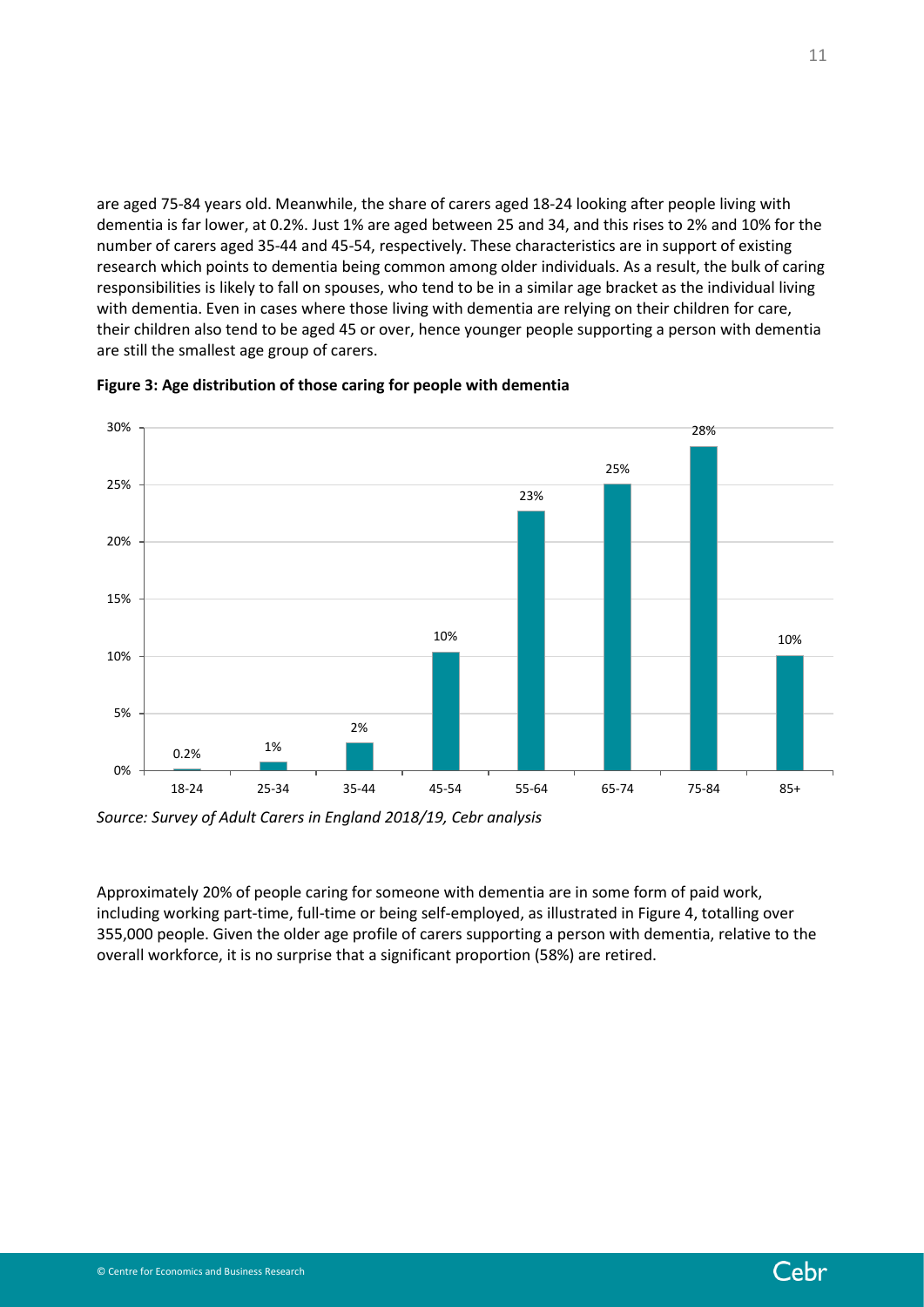are aged 75-84 years old. Meanwhile, the share of carers aged 18-24 looking after people living with dementia is far lower, at 0.2%. Just 1% are aged between 25 and 34, and this rises to 2% and 10% for the number of carers aged 35-44 and 45-54, respectively. These characteristics are in support of existing research which points to dementia being common among older individuals. As a result, the bulk of caring responsibilities is likely to fall on spouses, who tend to be in a similar age bracket as the individual living with dementia. Even in cases where those living with dementia are relying on their children for care, their children also tend to be aged 45 or over, hence younger people supporting a person with dementia are still the smallest age group of carers.



<span id="page-10-0"></span>**Figure 3: Age distribution of those caring for people with dementia**

*Source: Survey of Adult Carers in England 2018/19, Cebr analysis*

Approximately 20% of people caring for someone with dementia are in some form of paid work, including working part-time, full-time or being self-employed, as illustrated in [Figure 4,](#page-11-0) totalling over 355,000 people. Given the older age profile of carers supporting a person with dementia, relative to the overall workforce, it is no surprise that a significant proportion (58%) are retired.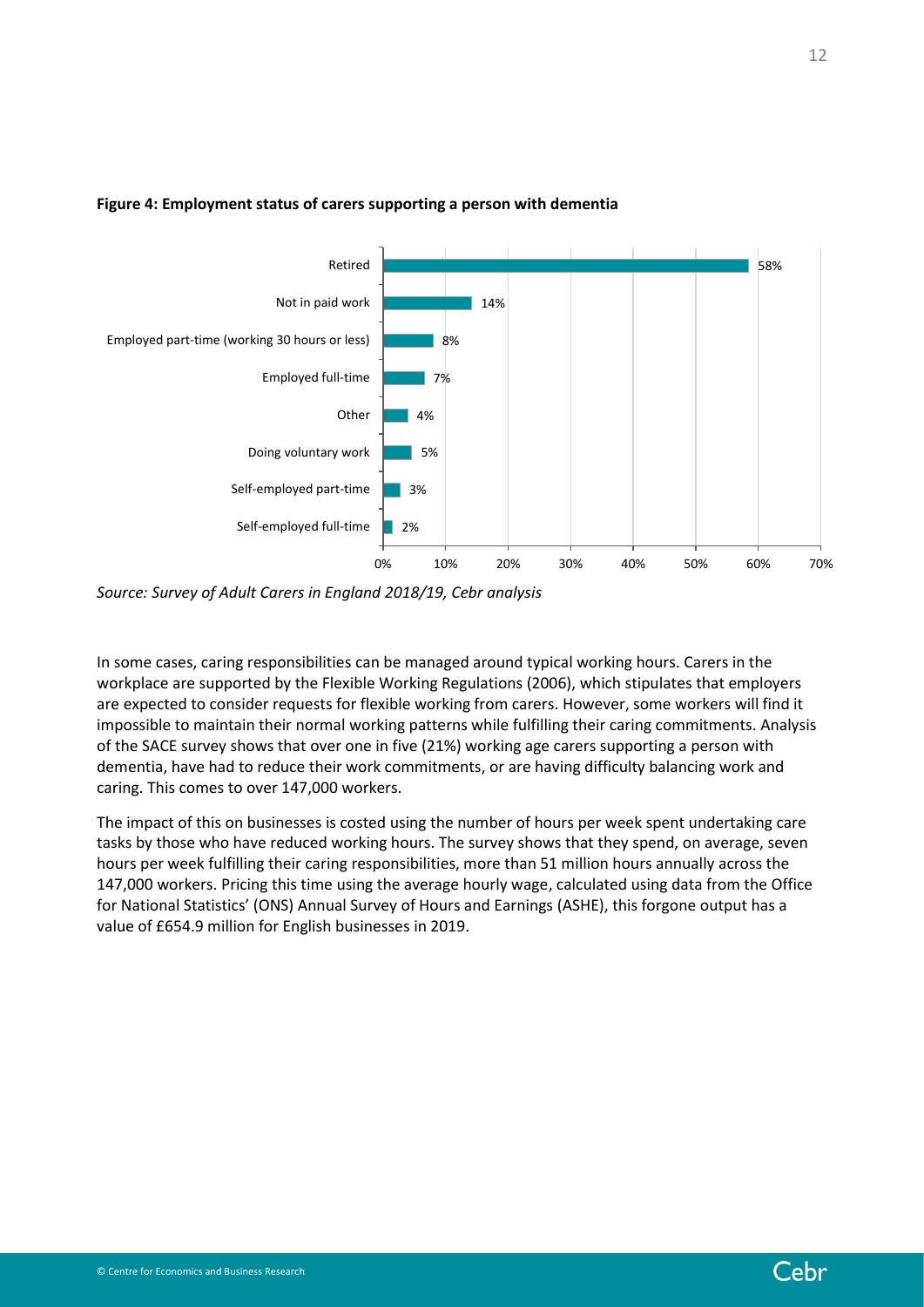

### <span id="page-11-0"></span>**Figure 4: Employment status of carers supporting a person with dementia**

*Source: Survey of Adult Carers in England 2018/19, Cebr analysis*

In some cases, caring responsibilities can be managed around typical working hours. Carers in the workplace are supported by the Flexible Working Regulations (2006), which stipulates that employers are expected to consider requests for flexible working from carers. However, some workers will find it impossible to maintain their normal working patterns while fulfilling their caring commitments. Analysis of the SACE survey shows that over one in five (21%) working age carers supporting a person with dementia, have had to reduce their work commitments, or are having difficulty balancing work and caring. This comes to over 147,000 workers.

The impact of this on businesses is costed using the number of hours per week spent undertaking care tasks by those who have reduced working hours. The survey shows that they spend, on average, seven hours per week fulfilling their caring responsibilities, more than 51 million hours annually across the 147,000 workers. Pricing this time using the average hourly wage, calculated using data from the Office for National Statistics' (ONS) Annual Survey of Hours and Earnings (ASHE), this forgone output has a value of £654.9 million for English businesses in 2019.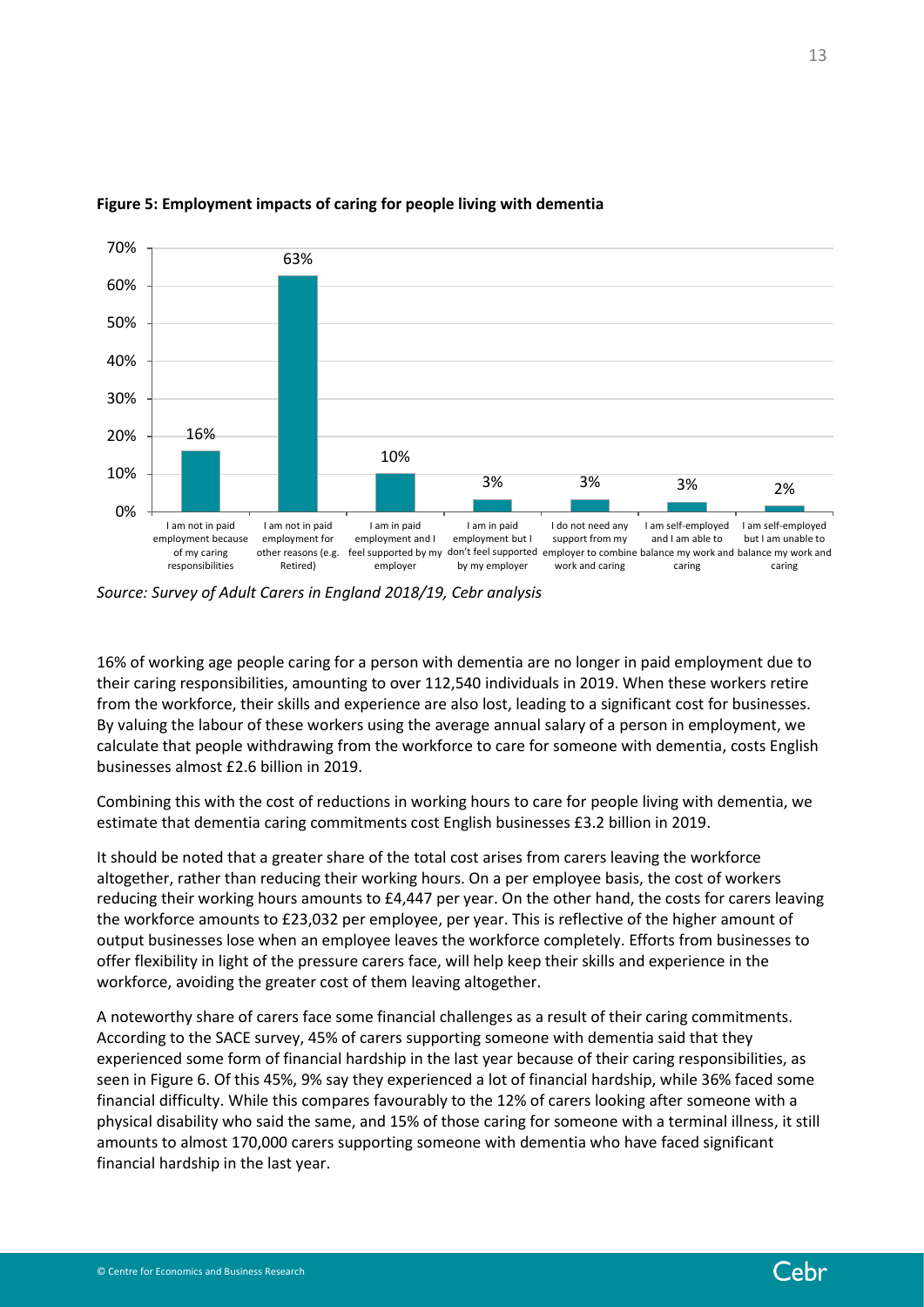

#### **Figure 5: Employment impacts of caring for people living with dementia**

*Source: Survey of Adult Carers in England 2018/19, Cebr analysis*

16% of working age people caring for a person with dementia are no longer in paid employment due to their caring responsibilities, amounting to over 112,540 individuals in 2019. When these workers retire from the workforce, their skills and experience are also lost, leading to a significant cost for businesses. By valuing the labour of these workers using the average annual salary of a person in employment, we calculate that people withdrawing from the workforce to care for someone with dementia, costs English businesses almost £2.6 billion in 2019.

Combining this with the cost of reductions in working hours to care for people living with dementia, we estimate that dementia caring commitments cost English businesses £3.2 billion in 2019.

It should be noted that a greater share of the total cost arises from carers leaving the workforce altogether, rather than reducing their working hours. On a per employee basis, the cost of workers reducing their working hours amounts to £4,447 per year. On the other hand, the costs for carers leaving the workforce amounts to £23,032 per employee, per year. This is reflective of the higher amount of output businesses lose when an employee leaves the workforce completely. Efforts from businesses to offer flexibility in light of the pressure carers face, will help keep their skills and experience in the workforce, avoiding the greater cost of them leaving altogether.

A noteworthy share of carers face some financial challenges as a result of their caring commitments. According to the SACE survey, 45% of carers supporting someone with dementia said that they experienced some form of financial hardship in the last year because of their caring responsibilities, as seen i[n Figure 6.](#page-13-0) Of this 45%, 9% say they experienced a lot of financial hardship, while 36% faced some financial difficulty. While this compares favourably to the 12% of carers looking after someone with a physical disability who said the same, and 15% of those caring for someone with a terminal illness, it still amounts to almost 170,000 carers supporting someone with dementia who have faced significant financial hardship in the last year.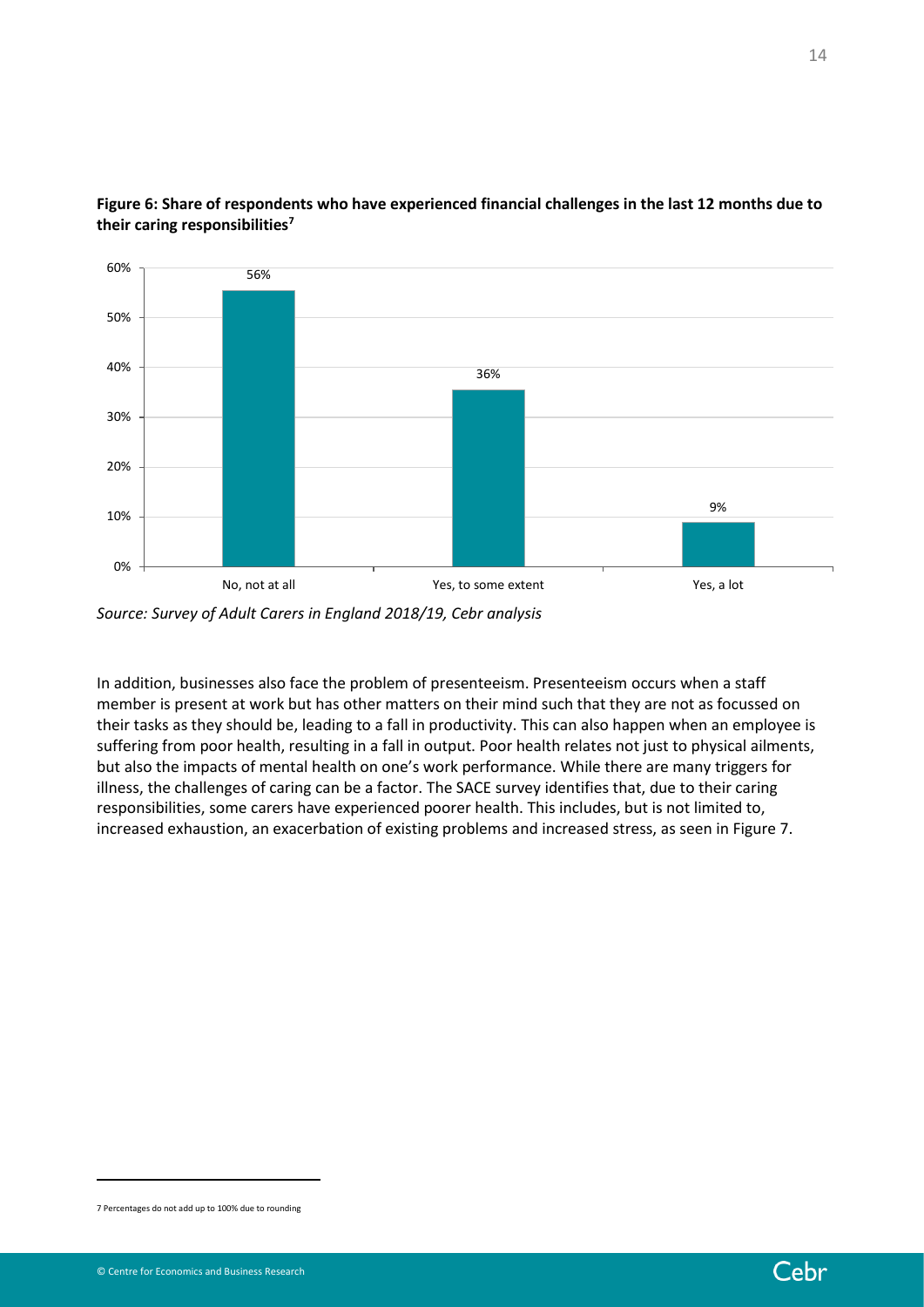

<span id="page-13-0"></span>**Figure 6: Share of respondents who have experienced financial challenges in the last 12 months due to their caring responsibilities<sup>7</sup>**

In addition, businesses also face the problem of presenteeism. Presenteeism occurs when a staff member is present at work but has other matters on their mind such that they are not as focussed on their tasks as they should be, leading to a fall in productivity. This can also happen when an employee is suffering from poor health, resulting in a fall in output. Poor health relates not just to physical ailments, but also the impacts of mental health on one's work performance. While there are many triggers for illness, the challenges of caring can be a factor. The SACE survey identifies that, due to their caring responsibilities, some carers have experienced poorer health. This includes, but is not limited to, increased exhaustion, an exacerbation of existing problems and increased stress, as seen in [Figure 7.](#page-14-1)

14



*Source: Survey of Adult Carers in England 2018/19, Cebr analysis*

<sup>7</sup> Percentages do not add up to 100% due to rounding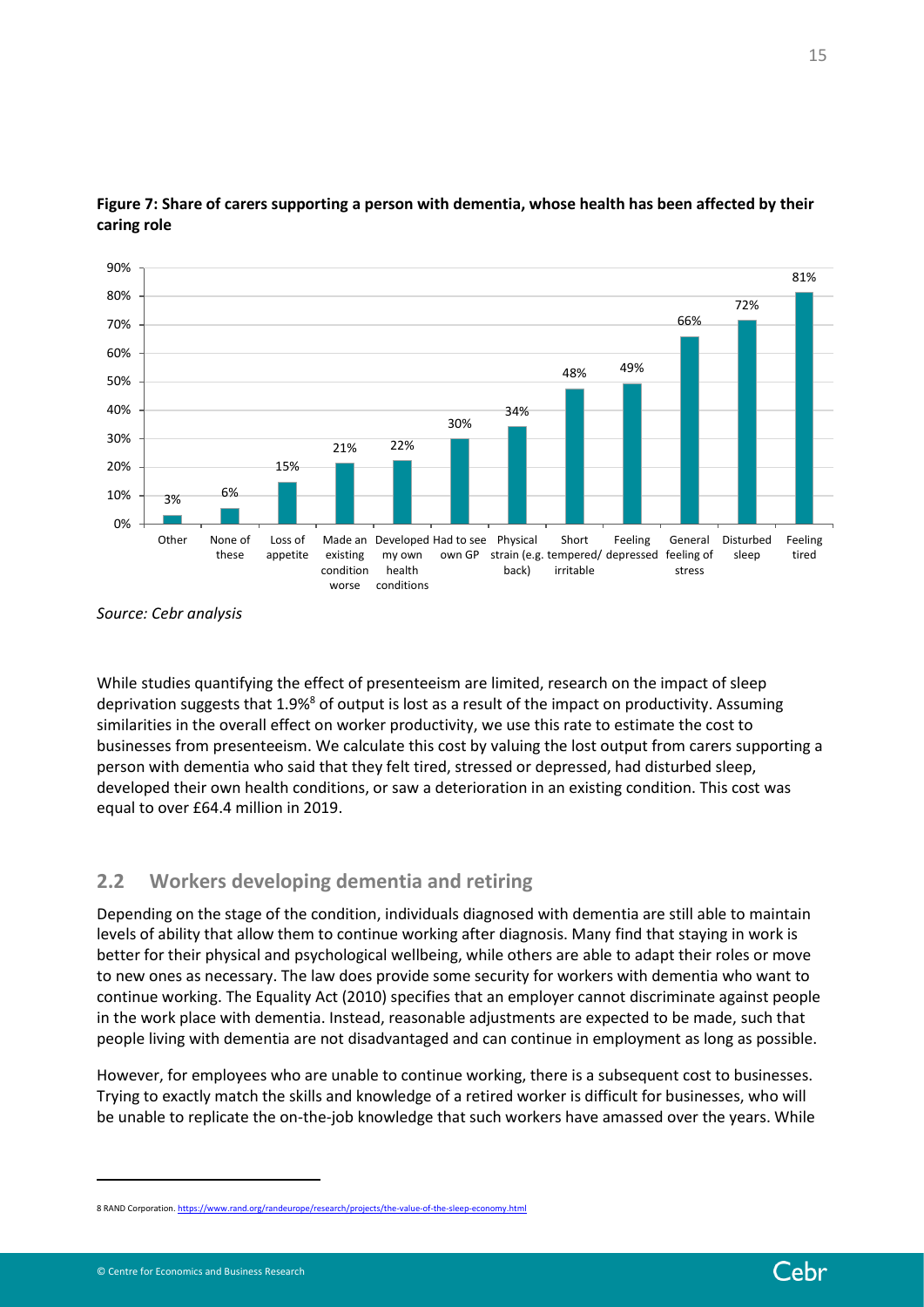

<span id="page-14-1"></span>**Figure 7: Share of carers supporting a person with dementia, whose health has been affected by their caring role**

While studies quantifying the effect of presenteeism are limited, research on the impact of sleep deprivation suggests that 1.9%<sup>8</sup> of output is lost as a result of the impact on productivity. Assuming similarities in the overall effect on worker productivity, we use this rate to estimate the cost to businesses from presenteeism. We calculate this cost by valuing the lost output from carers supporting a person with dementia who said that they felt tired, stressed or depressed, had disturbed sleep, developed their own health conditions, or saw a deterioration in an existing condition. This cost was equal to over £64.4 million in 2019.

# <span id="page-14-0"></span>**2.2 Workers developing dementia and retiring**

Depending on the stage of the condition, individuals diagnosed with dementia are still able to maintain levels of ability that allow them to continue working after diagnosis. Many find that staying in work is better for their physical and psychological wellbeing, while others are able to adapt their roles or move to new ones as necessary. The law does provide some security for workers with dementia who want to continue working. The Equality Act (2010) specifies that an employer cannot discriminate against people in the work place with dementia. Instead, reasonable adjustments are expected to be made, such that people living with dementia are not disadvantaged and can continue in employment as long as possible.

However, for employees who are unable to continue working, there is a subsequent cost to businesses. Trying to exactly match the skills and knowledge of a retired worker is difficult for businesses, who will be unable to replicate the on-the-job knowledge that such workers have amassed over the years. While

15

*Source: Cebr analysis*

<sup>8</sup> RAND Corporation[. https://www.rand.org/randeurope/research/projects/the-value-of-the-sleep-economy.html](https://www.rand.org/randeurope/research/projects/the-value-of-the-sleep-economy.html)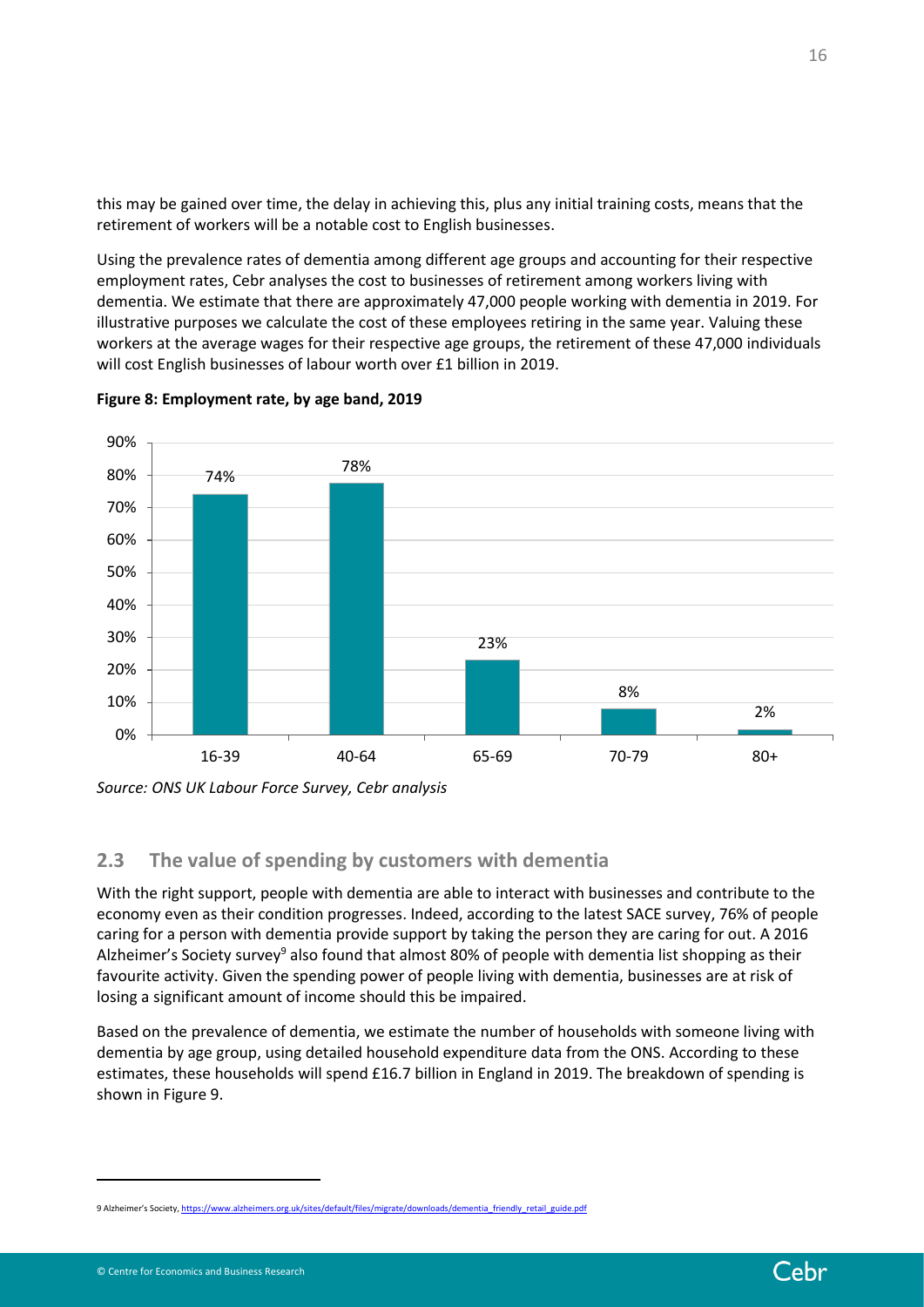this may be gained over time, the delay in achieving this, plus any initial training costs, means that the retirement of workers will be a notable cost to English businesses.

Using the prevalence rates of dementia among different age groups and accounting for their respective employment rates, Cebr analyses the cost to businesses of retirement among workers living with dementia. We estimate that there are approximately 47,000 people working with dementia in 2019. For illustrative purposes we calculate the cost of these employees retiring in the same year. Valuing these workers at the average wages for their respective age groups, the retirement of these 47,000 individuals will cost English businesses of labour worth over £1 billion in 2019.





# <span id="page-15-0"></span>**2.3 The value of spending by customers with dementia**

With the right support, people with dementia are able to interact with businesses and contribute to the economy even as their condition progresses. Indeed, according to the latest SACE survey, 76% of people caring for a person with dementia provide support by taking the person they are caring for out. A 2016 Alzheimer's Society survey<sup>9</sup> also found that almost 80% of people with dementia list shopping as their favourite activity. Given the spending power of people living with dementia, businesses are at risk of losing a significant amount of income should this be impaired.

Based on the prevalence of dementia, we estimate the number of households with someone living with dementia by age group, using detailed household expenditure data from the ONS. According to these estimates, these households will spend £16.7 billion in England in 2019. The breakdown of spending is shown in [Figure 9.](#page-16-0)

*Source: ONS UK Labour Force Survey, Cebr analysis*

<sup>9</sup> Alzheimer's Society[, https://www.alzheimers.org.uk/sites/default/files/migrate/downloads/dementia\\_friendly\\_retail\\_guide.pdf](https://www.alzheimers.org.uk/sites/default/files/migrate/downloads/dementia_friendly_retail_guide.pdf)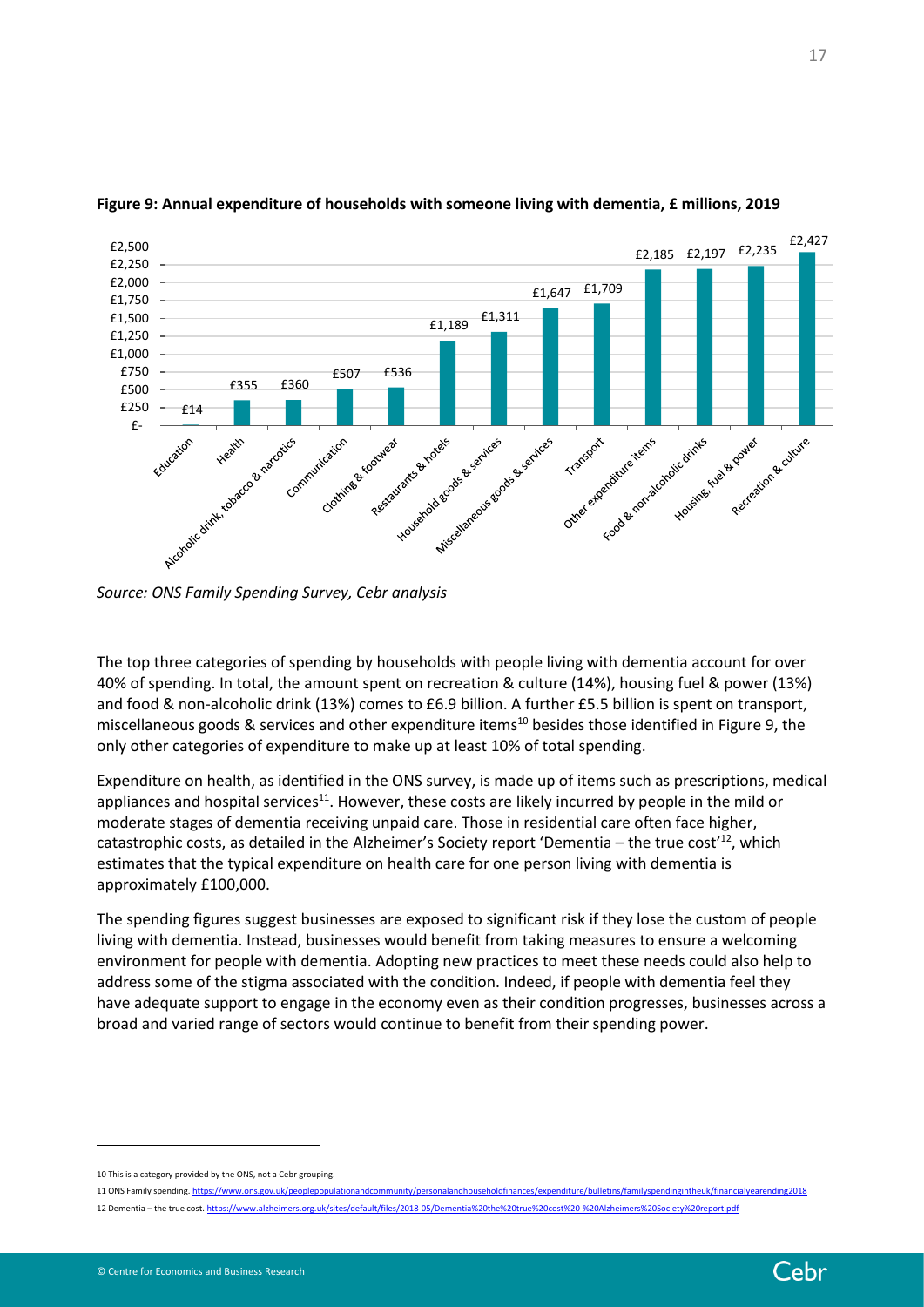

#### <span id="page-16-0"></span>**Figure 9: Annual expenditure of households with someone living with dementia, £ millions, 2019**

*Source: ONS Family Spending Survey, Cebr analysis*

The top three categories of spending by households with people living with dementia account for over 40% of spending. In total, the amount spent on recreation & culture (14%), housing fuel & power (13%) and food & non-alcoholic drink (13%) comes to £6.9 billion. A further £5.5 billion is spent on transport, miscellaneous goods & services and other expenditure items<sup>10</sup> besides those identified in [Figure 9,](#page-16-0) the only other categories of expenditure to make up at least 10% of total spending.

Expenditure on health, as identified in the ONS survey, is made up of items such as prescriptions, medical appliances and hospital services $11$ . However, these costs are likely incurred by people in the mild or moderate stages of dementia receiving unpaid care. Those in residential care often face higher, catastrophic costs, as detailed in the Alzheimer's Society report 'Dementia – the true cost'<sup>12</sup>, which estimates that the typical expenditure on health care for one person living with dementia is approximately £100,000.

The spending figures suggest businesses are exposed to significant risk if they lose the custom of people living with dementia. Instead, businesses would benefit from taking measures to ensure a welcoming environment for people with dementia. Adopting new practices to meet these needs could also help to address some of the stigma associated with the condition. Indeed, if people with dementia feel they have adequate support to engage in the economy even as their condition progresses, businesses across a broad and varied range of sectors would continue to benefit from their spending power.

<sup>10</sup> This is a category provided by the ONS, not a Cebr grouping.

<sup>11</sup> ONS Family spending[. https://www.ons.gov.uk/peoplepopulationandcommunity/personalandhouseholdfinances/expenditure/bulletins/familyspendingintheuk/financialyearending2018](https://www.ons.gov.uk/peoplepopulationandcommunity/personalandhouseholdfinances/expenditure/bulletins/familyspendingintheuk/financialyearending2018)

<sup>12</sup> Dementia – the true cost[. https://www.alzheimers.org.uk/sites/default/files/2018-05/Dementia%20the%20true%20cost%20-%20Alzheimers%20Society%20report.pdf](https://www.alzheimers.org.uk/sites/default/files/2018-05/Dementia%20the%20true%20cost%20-%20Alzheimers%20Society%20report.pdf)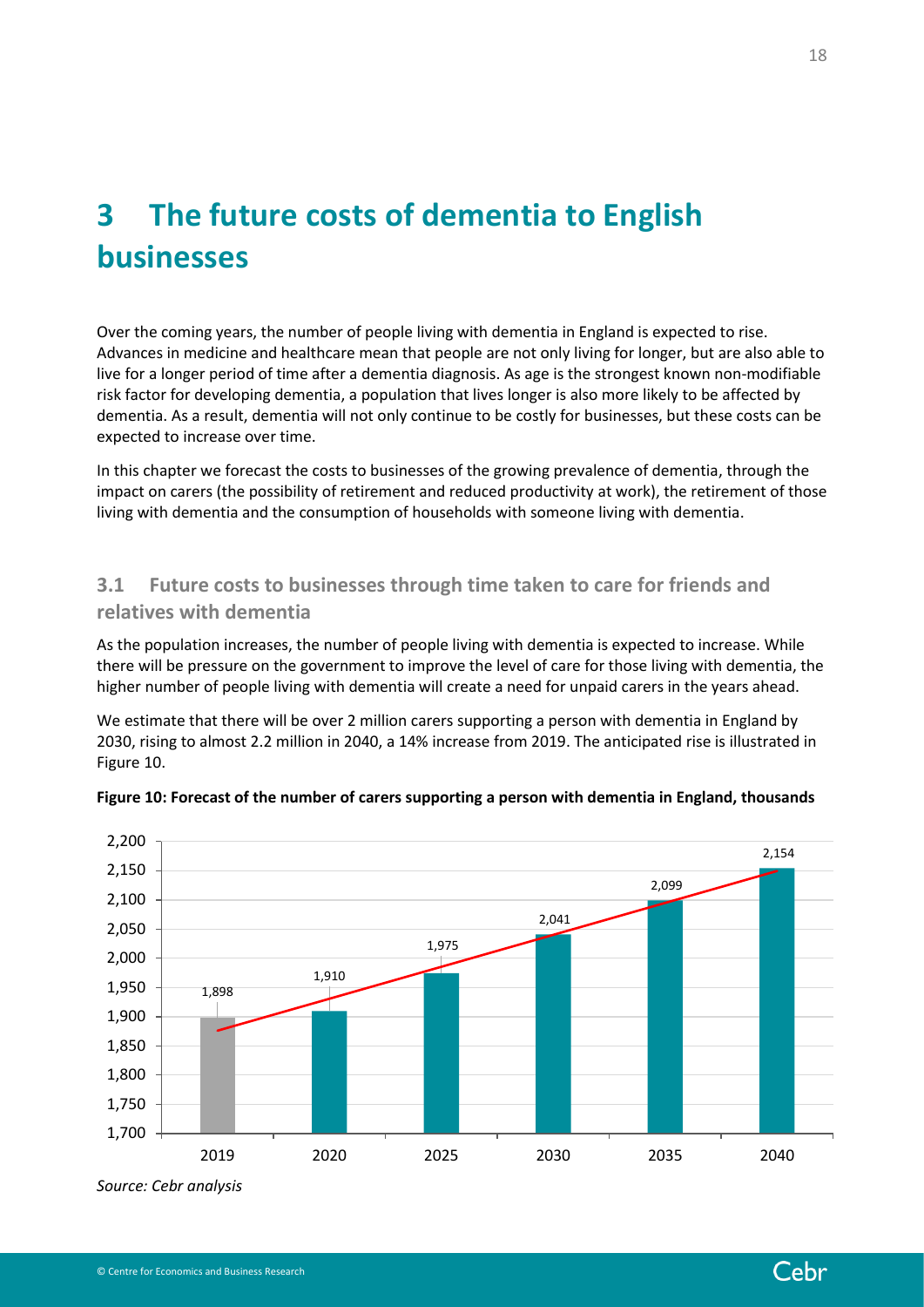# <span id="page-17-0"></span>**3 The future costs of dementia to English businesses**

Over the coming years, the number of people living with dementia in England is expected to rise. Advances in medicine and healthcare mean that people are not only living for longer, but are also able to live for a longer period of time after a dementia diagnosis. As age is the strongest known non-modifiable risk factor for developing dementia, a population that lives longer is also more likely to be affected by dementia. As a result, dementia will not only continue to be costly for businesses, but these costs can be expected to increase over time.

In this chapter we forecast the costs to businesses of the growing prevalence of dementia, through the impact on carers (the possibility of retirement and reduced productivity at work), the retirement of those living with dementia and the consumption of households with someone living with dementia.

# <span id="page-17-1"></span>**3.1 Future costs to businesses through time taken to care for friends and relatives with dementia**

As the population increases, the number of people living with dementia is expected to increase. While there will be pressure on the government to improve the level of care for those living with dementia, the higher number of people living with dementia will create a need for unpaid carers in the years ahead.

We estimate that there will be over 2 million carers supporting a person with dementia in England by 2030, rising to almost 2.2 million in 2040, a 14% increase from 2019. The anticipated rise is illustrated in [Figure 10.](#page-17-2)



#### <span id="page-17-2"></span>**Figure 10: Forecast of the number of carers supporting a person with dementia in England, thousands**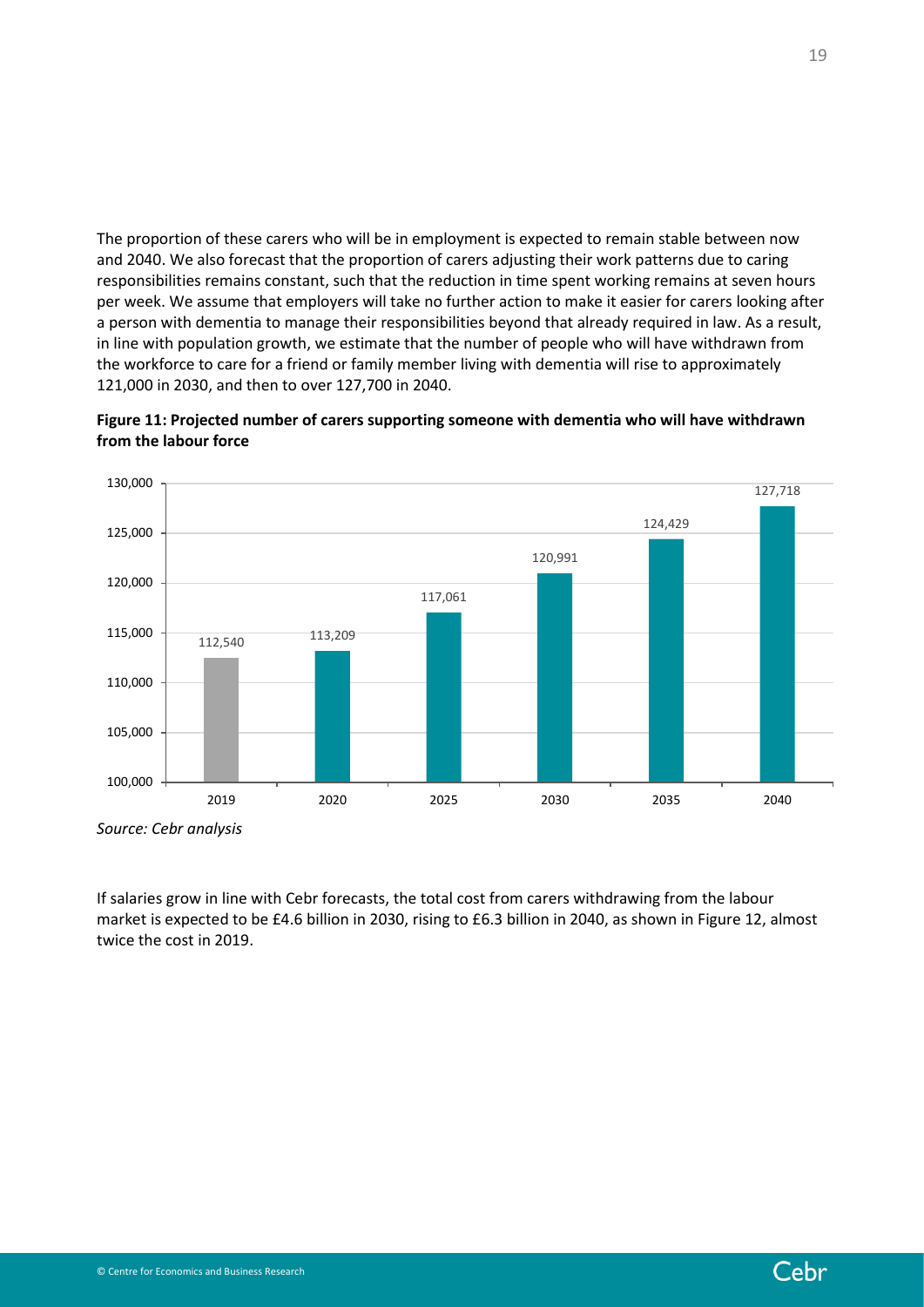The proportion of these carers who will be in employment is expected to remain stable between now and 2040. We also forecast that the proportion of carers adjusting their work patterns due to caring responsibilities remains constant, such that the reduction in time spent working remains at seven hours per week. We assume that employers will take no further action to make it easier for carers looking after a person with dementia to manage their responsibilities beyond that already required in law. As a result, in line with population growth, we estimate that the number of people who will have withdrawn from the workforce to care for a friend or family member living with dementia will rise to approximately 121,000 in 2030, and then to over 127,700 in 2040.





If salaries grow in line with Cebr forecasts, the total cost from carers withdrawing from the labour market is expected to be £4.6 billion in 2030, rising to £6.3 billion in 2040, as shown in [Figure 12,](#page-19-0) almost twice the cost in 2019.

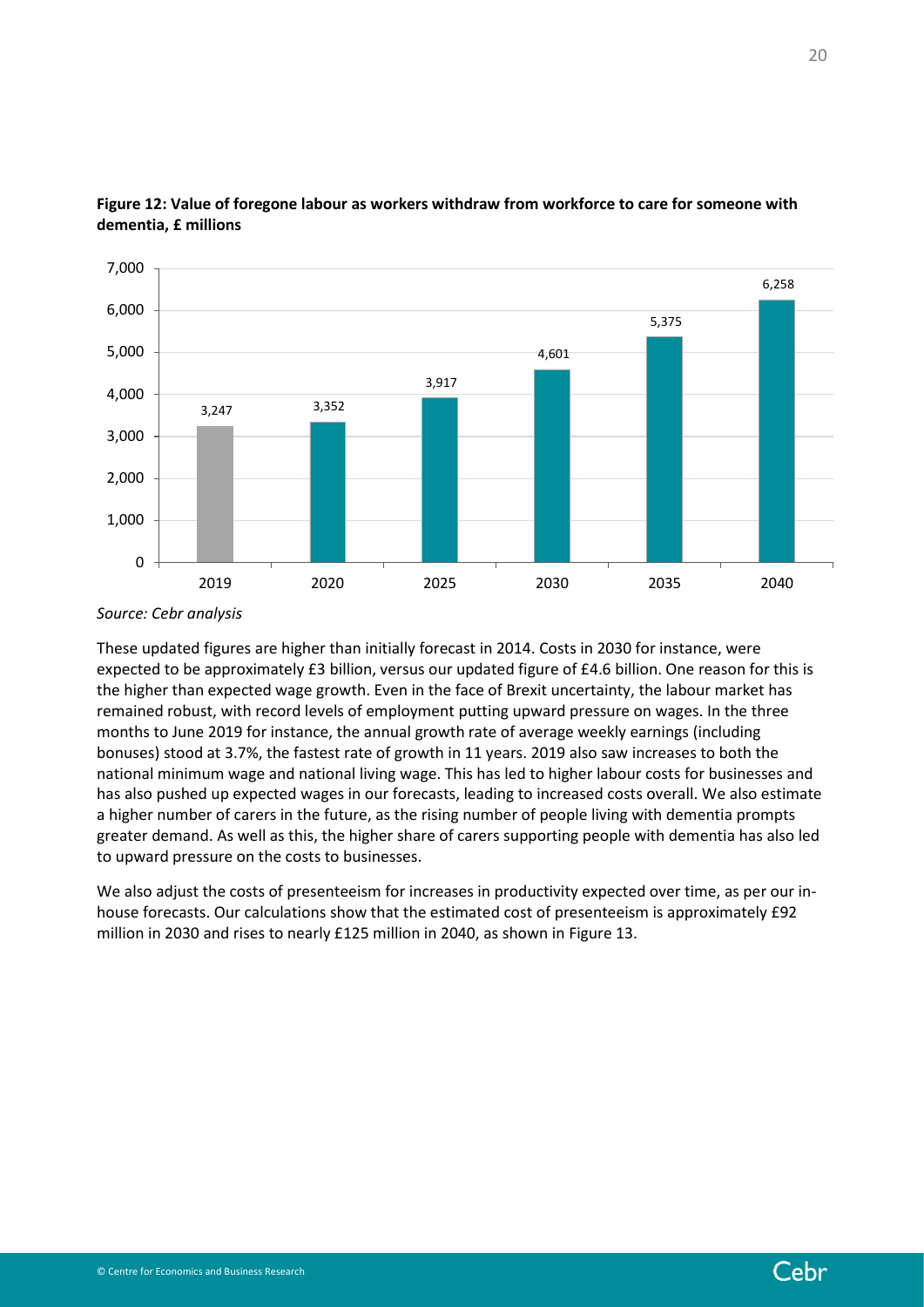

## <span id="page-19-0"></span>**Figure 12: Value of foregone labour as workers withdraw from workforce to care for someone with dementia, £ millions**

These updated figures are higher than initially forecast in 2014. Costs in 2030 for instance, were expected to be approximately £3 billion, versus our updated figure of £4.6 billion. One reason for this is the higher than expected wage growth. Even in the face of Brexit uncertainty, the labour market has remained robust, with record levels of employment putting upward pressure on wages. In the three months to June 2019 for instance, the annual growth rate of average weekly earnings (including bonuses) stood at 3.7%, the fastest rate of growth in 11 years. 2019 also saw increases to both the national minimum wage and national living wage. This has led to higher labour costs for businesses and has also pushed up expected wages in our forecasts, leading to increased costs overall. We also estimate a higher number of carers in the future, as the rising number of people living with dementia prompts greater demand. As well as this, the higher share of carers supporting people with dementia has also led to upward pressure on the costs to businesses.

We also adjust the costs of presenteeism for increases in productivity expected over time, as per our inhouse forecasts. Our calculations show that the estimated cost of presenteeism is approximately £92 million in 2030 and rises to nearly £125 million in 2040, as shown in [Figure 13.](#page-20-1)



*Source: Cebr analysis*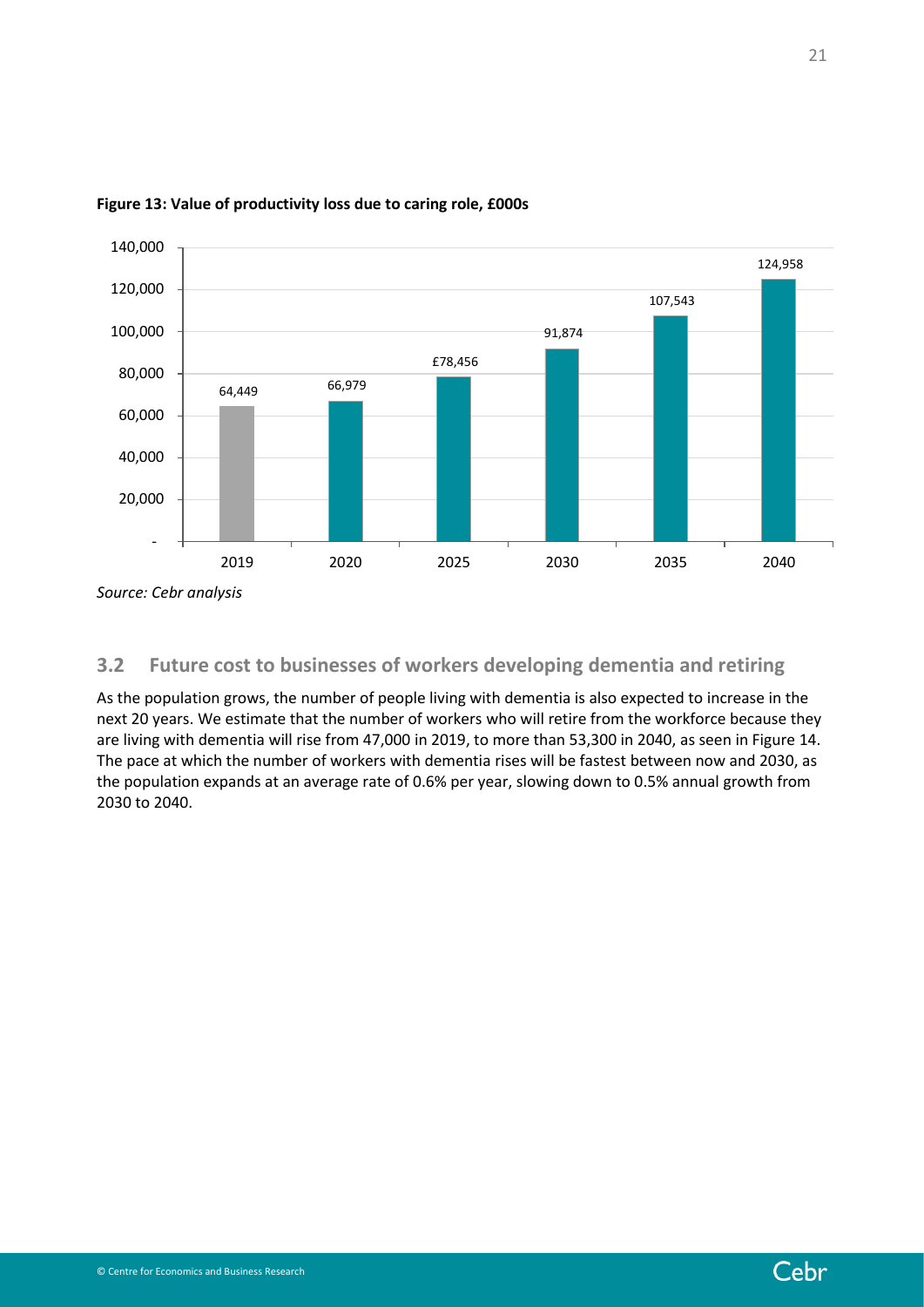

#### <span id="page-20-1"></span>**Figure 13: Value of productivity loss due to caring role, £000s**

*Source: Cebr analysis*

# <span id="page-20-0"></span>**3.2 Future cost to businesses of workers developing dementia and retiring**

As the population grows, the number of people living with dementia is also expected to increase in the next 20 years. We estimate that the number of workers who will retire from the workforce because they are living with dementia will rise from 47,000 in 2019, to more than 53,300 in 2040, as seen i[n Figure 14.](#page-21-0) The pace at which the number of workers with dementia rises will be fastest between now and 2030, as the population expands at an average rate of 0.6% per year, slowing down to 0.5% annual growth from 2030 to 2040.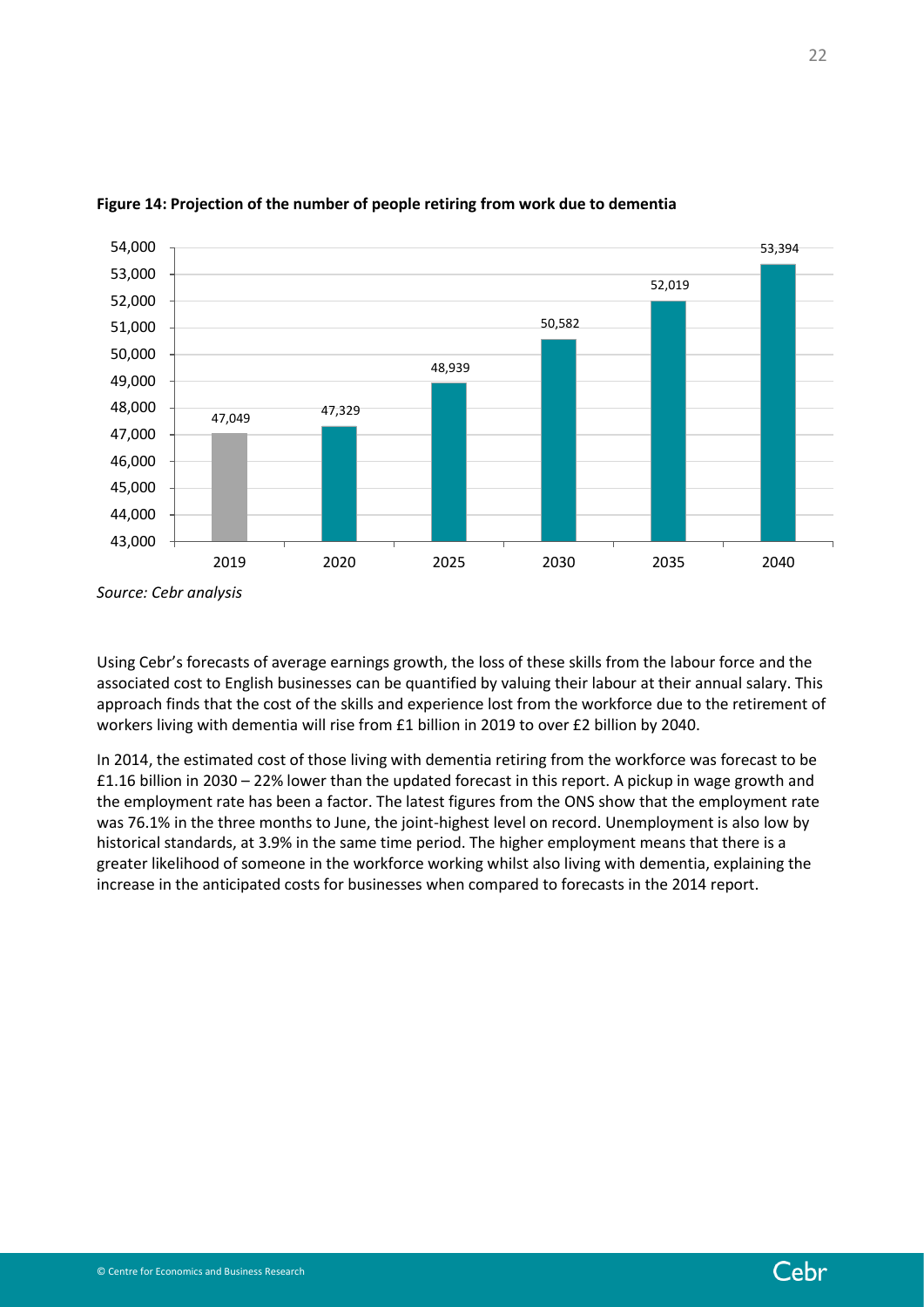

### <span id="page-21-0"></span>**Figure 14: Projection of the number of people retiring from work due to dementia**

Using Cebr's forecasts of average earnings growth, the loss of these skills from the labour force and the associated cost to English businesses can be quantified by valuing their labour at their annual salary. This approach finds that the cost of the skills and experience lost from the workforce due to the retirement of workers living with dementia will rise from £1 billion in 2019 to over £2 billion by 2040.

In 2014, the estimated cost of those living with dementia retiring from the workforce was forecast to be £1.16 billion in 2030 – 22% lower than the updated forecast in this report. A pickup in wage growth and the employment rate has been a factor. The latest figures from the ONS show that the employment rate was 76.1% in the three months to June, the joint-highest level on record. Unemployment is also low by historical standards, at 3.9% in the same time period. The higher employment means that there is a greater likelihood of someone in the workforce working whilst also living with dementia, explaining the increase in the anticipated costs for businesses when compared to forecasts in the 2014 report.

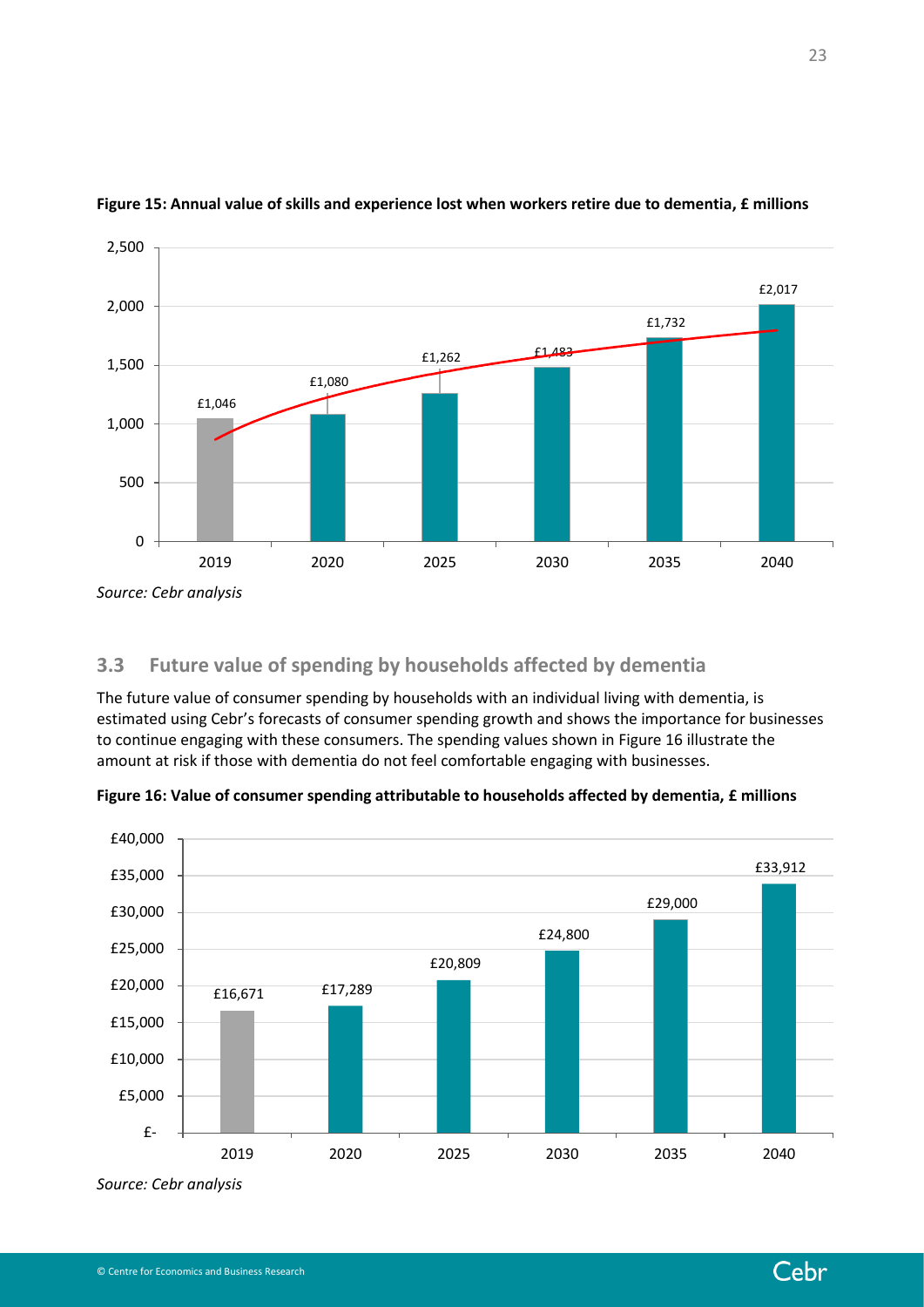

### **Figure 15: Annual value of skills and experience lost when workers retire due to dementia, £ millions**

# <span id="page-22-0"></span>**3.3 Future value of spending by households affected by dementia**

The future value of consumer spending by households with an individual living with dementia, is estimated using Cebr's forecasts of consumer spending growth and shows the importance for businesses to continue engaging with these consumers. The spending values shown i[n Figure 16](#page-22-1) illustrate the amount at risk if those with dementia do not feel comfortable engaging with businesses.

<span id="page-22-1"></span>

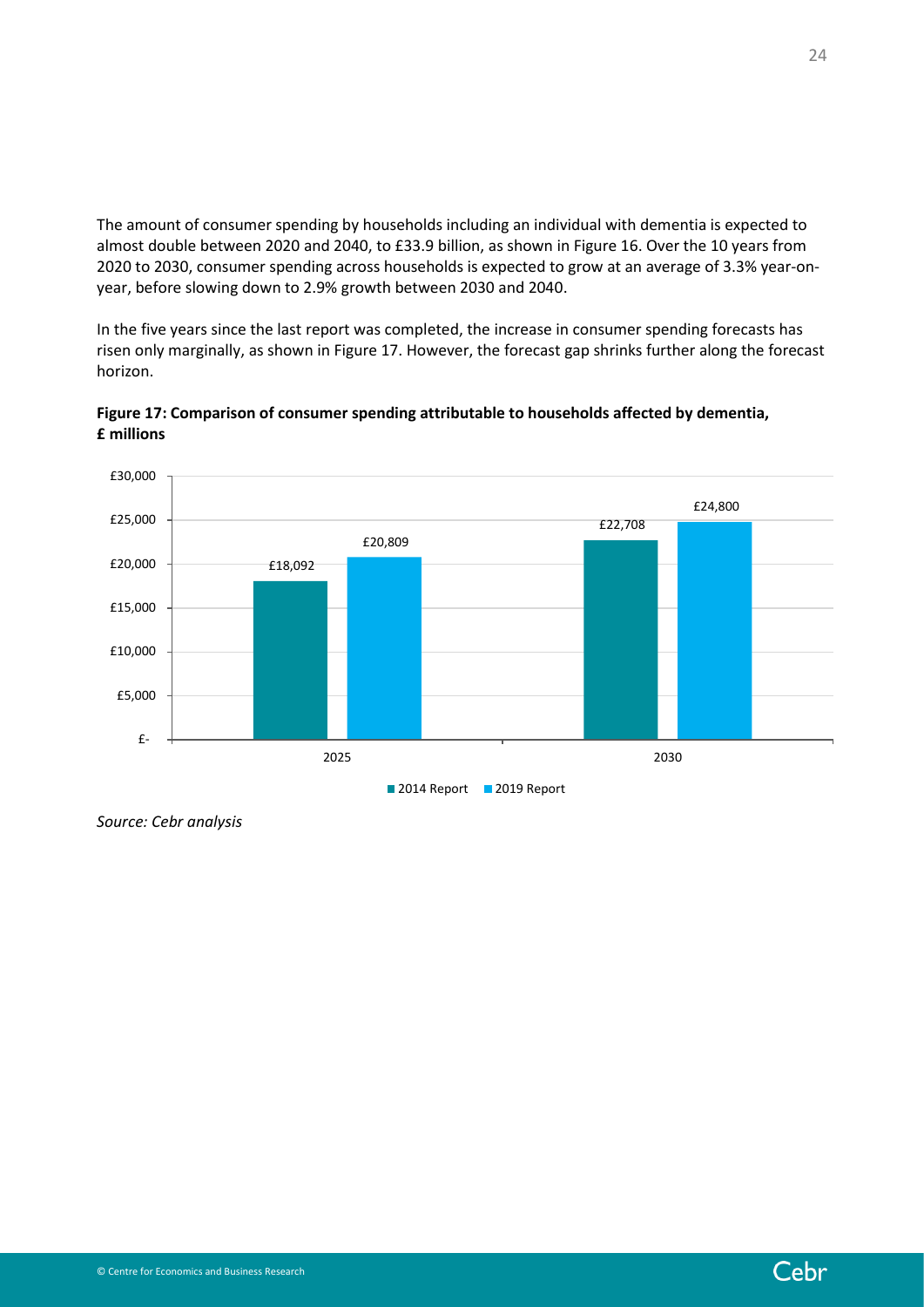The amount of consumer spending by households including an individual with dementia is expected to almost double between 2020 and 2040, to £33.9 billion, as shown i[n Figure 16.](#page-22-1) Over the 10 years from 2020 to 2030, consumer spending across households is expected to grow at an average of 3.3% year-onyear, before slowing down to 2.9% growth between 2030 and 2040.

In the five years since the last report was completed, the increase in consumer spending forecasts has risen only marginally, as shown in [Figure 17.](#page-23-0) However, the forecast gap shrinks further along the forecast horizon.



<span id="page-23-0"></span>**Figure 17: Comparison of consumer spending attributable to households affected by dementia, £ millions**

*Source: Cebr analysis*

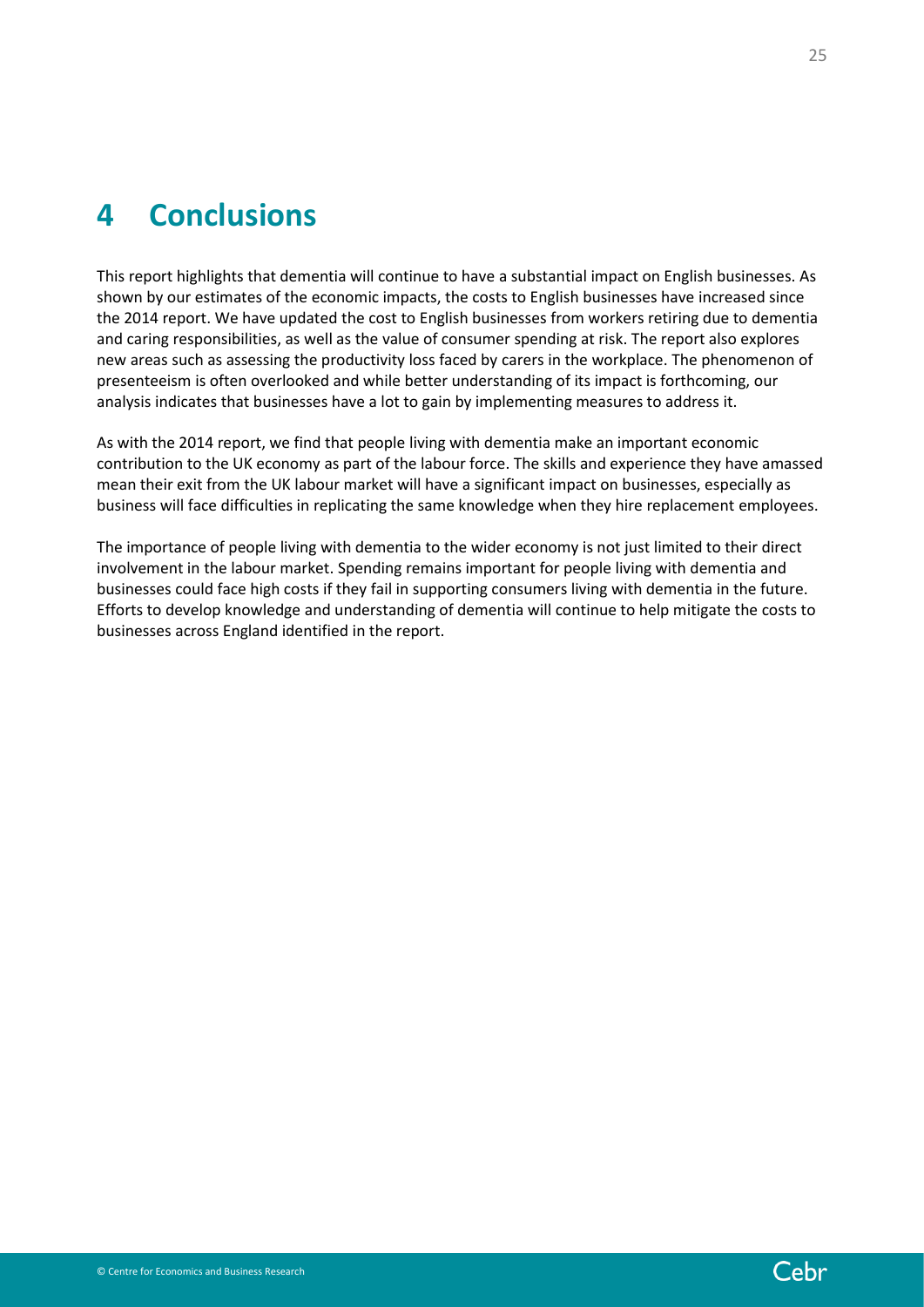# <span id="page-24-0"></span>**4 Conclusions**

This report highlights that dementia will continue to have a substantial impact on English businesses. As shown by our estimates of the economic impacts, the costs to English businesses have increased since the 2014 report. We have updated the cost to English businesses from workers retiring due to dementia and caring responsibilities, as well as the value of consumer spending at risk. The report also explores new areas such as assessing the productivity loss faced by carers in the workplace. The phenomenon of presenteeism is often overlooked and while better understanding of its impact is forthcoming, our analysis indicates that businesses have a lot to gain by implementing measures to address it.

As with the 2014 report, we find that people living with dementia make an important economic contribution to the UK economy as part of the labour force. The skills and experience they have amassed mean their exit from the UK labour market will have a significant impact on businesses, especially as business will face difficulties in replicating the same knowledge when they hire replacement employees.

The importance of people living with dementia to the wider economy is not just limited to their direct involvement in the labour market. Spending remains important for people living with dementia and businesses could face high costs if they fail in supporting consumers living with dementia in the future. Efforts to develop knowledge and understanding of dementia will continue to help mitigate the costs to businesses across England identified in the report.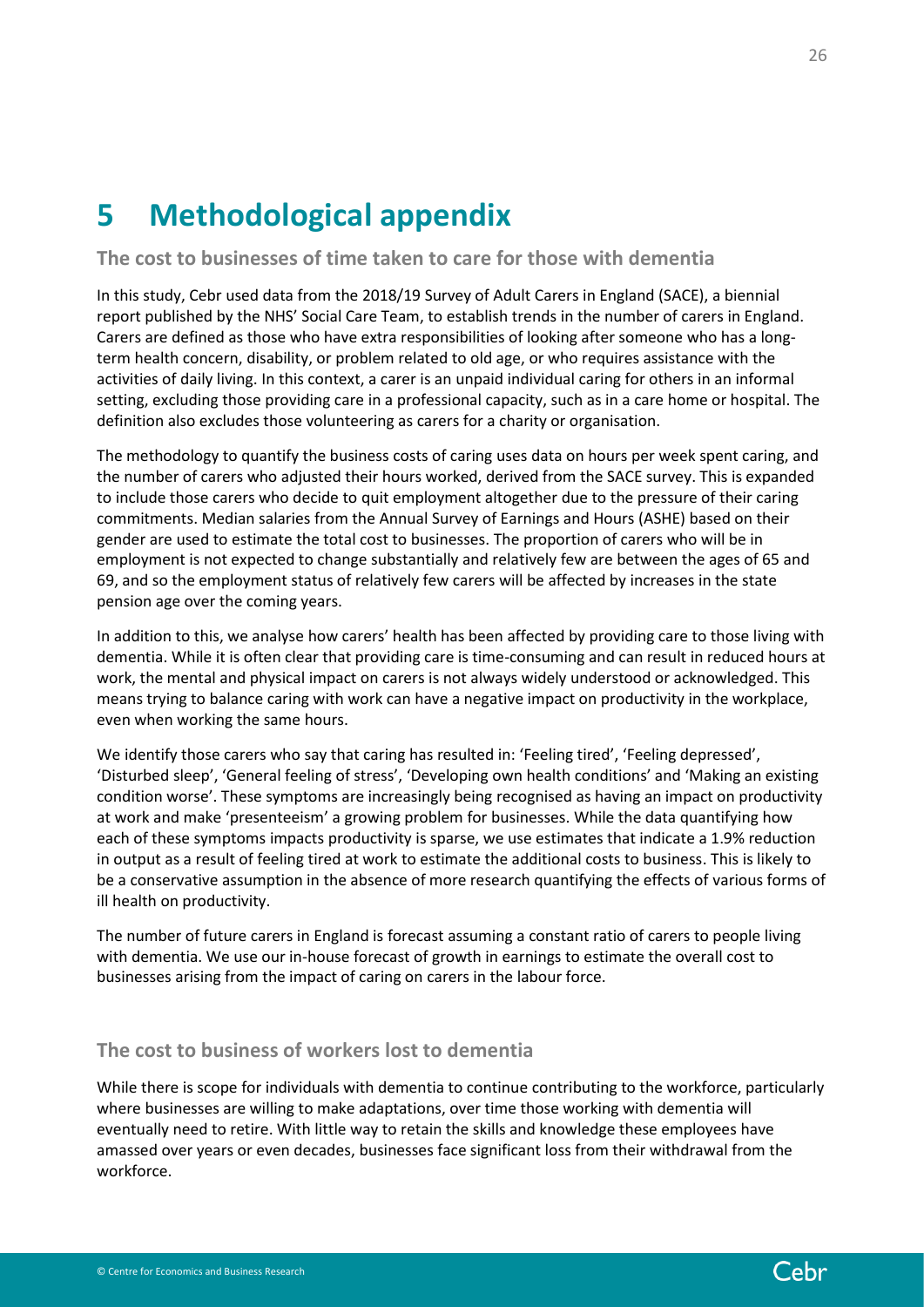# <span id="page-25-0"></span>**5 Methodological appendix**

## **The cost to businesses of time taken to care for those with dementia**

In this study, Cebr used data from the 2018/19 Survey of Adult Carers in England (SACE), a biennial report published by the NHS' Social Care Team, to establish trends in the number of carers in England. Carers are defined as those who have extra responsibilities of looking after someone who has a longterm health concern, disability, or problem related to old age, or who requires assistance with the activities of daily living. In this context, a carer is an unpaid individual caring for others in an informal setting, excluding those providing care in a professional capacity, such as in a care home or hospital. The definition also excludes those volunteering as carers for a charity or organisation.

The methodology to quantify the business costs of caring uses data on hours per week spent caring, and the number of carers who adjusted their hours worked, derived from the SACE survey. This is expanded to include those carers who decide to quit employment altogether due to the pressure of their caring commitments. Median salaries from the Annual Survey of Earnings and Hours (ASHE) based on their gender are used to estimate the total cost to businesses. The proportion of carers who will be in employment is not expected to change substantially and relatively few are between the ages of 65 and 69, and so the employment status of relatively few carers will be affected by increases in the state pension age over the coming years.

In addition to this, we analyse how carers' health has been affected by providing care to those living with dementia. While it is often clear that providing care is time-consuming and can result in reduced hours at work, the mental and physical impact on carers is not always widely understood or acknowledged. This means trying to balance caring with work can have a negative impact on productivity in the workplace, even when working the same hours.

We identify those carers who say that caring has resulted in: 'Feeling tired', 'Feeling depressed', 'Disturbed sleep', 'General feeling of stress', 'Developing own health conditions' and 'Making an existing condition worse'. These symptoms are increasingly being recognised as having an impact on productivity at work and make 'presenteeism' a growing problem for businesses. While the data quantifying how each of these symptoms impacts productivity is sparse, we use estimates that indicate a 1.9% reduction in output as a result of feeling tired at work to estimate the additional costs to business. This is likely to be a conservative assumption in the absence of more research quantifying the effects of various forms of ill health on productivity.

The number of future carers in England is forecast assuming a constant ratio of carers to people living with dementia. We use our in-house forecast of growth in earnings to estimate the overall cost to businesses arising from the impact of caring on carers in the labour force.

# **The cost to business of workers lost to dementia**

While there is scope for individuals with dementia to continue contributing to the workforce, particularly where businesses are willing to make adaptations, over time those working with dementia will eventually need to retire. With little way to retain the skills and knowledge these employees have amassed over years or even decades, businesses face significant loss from their withdrawal from the workforce.

Cebr